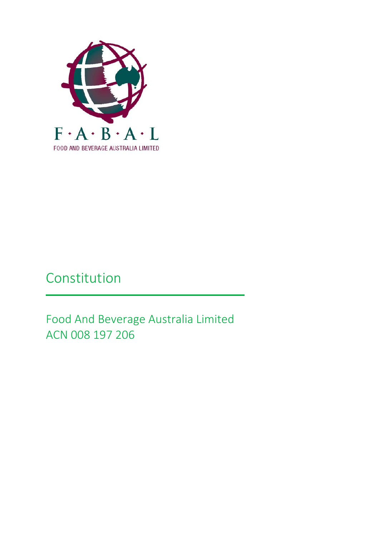

# Constitution

Food And Beverage Australia Limited ACN 008 197 206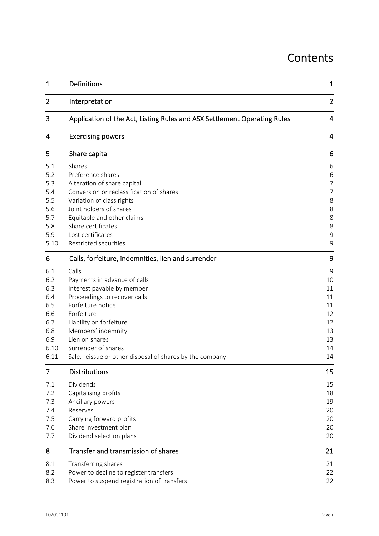## **Contents**

| $\mathbf{1}$                                                                | Definitions                                                                                                                                                                                                                                                                                  | 1                                                                                     |
|-----------------------------------------------------------------------------|----------------------------------------------------------------------------------------------------------------------------------------------------------------------------------------------------------------------------------------------------------------------------------------------|---------------------------------------------------------------------------------------|
| $\overline{2}$                                                              | Interpretation                                                                                                                                                                                                                                                                               | $\overline{2}$                                                                        |
| 3                                                                           | Application of the Act, Listing Rules and ASX Settlement Operating Rules                                                                                                                                                                                                                     | 4                                                                                     |
| 4                                                                           | <b>Exercising powers</b>                                                                                                                                                                                                                                                                     | 4                                                                                     |
| 5                                                                           | Share capital                                                                                                                                                                                                                                                                                | 6                                                                                     |
| 5.1<br>5.2<br>5.3<br>5.4<br>5.5<br>5.6<br>5.7<br>5.8<br>5.9<br>5.10         | Shares<br>Preference shares<br>Alteration of share capital<br>Conversion or reclassification of shares<br>Variation of class rights<br>Joint holders of shares<br>Equitable and other claims<br>Share certificates<br>Lost certificates<br>Restricted securities                             | 6<br>6<br>$\overline{7}$<br>$\overline{7}$<br>8<br>8<br>8<br>8<br>$\overline{9}$<br>9 |
| 6                                                                           | Calls, forfeiture, indemnities, lien and surrender                                                                                                                                                                                                                                           | 9                                                                                     |
| 6.1<br>6.2<br>6.3<br>6.4<br>6.5<br>6.6<br>6.7<br>6.8<br>6.9<br>6.10<br>6.11 | Calls<br>Payments in advance of calls<br>Interest payable by member<br>Proceedings to recover calls<br>Forfeiture notice<br>Forfeiture<br>Liability on forfeiture<br>Members' indemnity<br>Lien on shares<br>Surrender of shares<br>Sale, reissue or other disposal of shares by the company | 9<br>10<br>11<br>11<br>11<br>12<br>12<br>13<br>13<br>14<br>14                         |
| 7                                                                           | <b>Distributions</b>                                                                                                                                                                                                                                                                         | 15                                                                                    |
| 7.1<br>7.2<br>7.3<br>7.4<br>7.5<br>7.6<br>7.7                               | Dividends<br>Capitalising profits<br>Ancillary powers<br>Reserves<br>Carrying forward profits<br>Share investment plan<br>Dividend selection plans                                                                                                                                           | 15<br>18<br>19<br>20<br>20<br>20<br>20                                                |
| 8                                                                           | Transfer and transmission of shares                                                                                                                                                                                                                                                          | 21                                                                                    |
| 8.1<br>8.2<br>8.3                                                           | Transferring shares<br>Power to decline to register transfers<br>Power to suspend registration of transfers                                                                                                                                                                                  | 21<br>22<br>22                                                                        |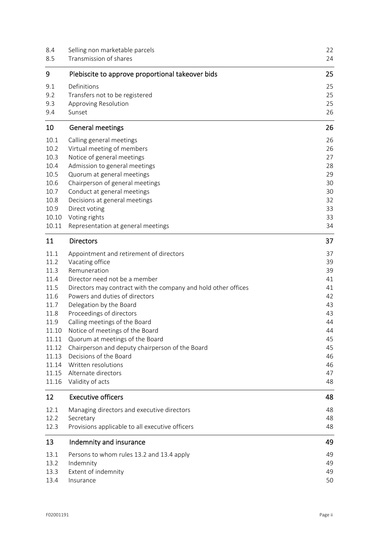| 8.4<br>8.5     | Selling non marketable parcels<br>Transmission of shares       | 22<br>24 |  |
|----------------|----------------------------------------------------------------|----------|--|
| 9              | Plebiscite to approve proportional takeover bids               | 25       |  |
| 9.1            | Definitions                                                    | 25       |  |
| 9.2            | Transfers not to be registered                                 | 25       |  |
| 9.3            | Approving Resolution                                           | 25       |  |
| 9.4            | Sunset                                                         | 26       |  |
| 10             | <b>General meetings</b>                                        | 26       |  |
| 10.1           | Calling general meetings                                       | 26       |  |
| 10.2           | Virtual meeting of members                                     | 26       |  |
| 10.3           | Notice of general meetings                                     | 27       |  |
| 10.4           | Admission to general meetings                                  | 28       |  |
| 10.5           | Quorum at general meetings                                     | 29       |  |
| 10.6           | Chairperson of general meetings                                | 30       |  |
| 10.7           | Conduct at general meetings                                    | 30       |  |
| 10.8           | Decisions at general meetings                                  | 32       |  |
| 10.9           | Direct voting                                                  | 33       |  |
| 10.10<br>10.11 | Voting rights<br>Representation at general meetings            | 33<br>34 |  |
| 11             | <b>Directors</b>                                               | 37       |  |
|                |                                                                |          |  |
| 11.1           | Appointment and retirement of directors                        | 37       |  |
| 11.2<br>11.3   | Vacating office<br>Remuneration                                | 39<br>39 |  |
| 11.4           | Director need not be a member                                  | 41       |  |
| 11.5           | Directors may contract with the company and hold other offices | 41       |  |
| 11.6           | Powers and duties of directors                                 | 42       |  |
| 11.7           | Delegation by the Board                                        | 43       |  |
| 11.8           | Proceedings of directors                                       | 43       |  |
| 11.9           | Calling meetings of the Board                                  | 44       |  |
| 11.10          | Notice of meetings of the Board                                | 44       |  |
| 11.11          | Quorum at meetings of the Board                                | 45       |  |
| 11.12          | Chairperson and deputy chairperson of the Board                | 45       |  |
| 11.13          | Decisions of the Board                                         | 46       |  |
| 11.14          | Written resolutions                                            | 46       |  |
| 11.15          | Alternate directors                                            | 47       |  |
| 11.16          | Validity of acts                                               | 48       |  |
| 12             | <b>Executive officers</b>                                      | 48       |  |
| 12.1           | Managing directors and executive directors                     | 48       |  |
| 12.2           | Secretary                                                      | 48       |  |
| 12.3           | Provisions applicable to all executive officers                | 48       |  |
| 13             | Indemnity and insurance                                        | 49       |  |
| 13.1           | Persons to whom rules 13.2 and 13.4 apply                      | 49       |  |
| 13.2           | Indemnity                                                      | 49       |  |
| 13.3           | Extent of indemnity                                            | 49       |  |
| 13.4           | Insurance                                                      | 50       |  |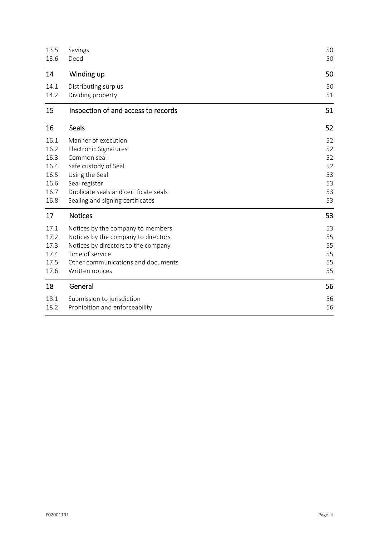| 13.5 | Savings                               | 50 |
|------|---------------------------------------|----|
| 13.6 | Deed                                  | 50 |
| 14   | Winding up                            | 50 |
| 14.1 | Distributing surplus                  | 50 |
| 14.2 | Dividing property                     | 51 |
| 15   | Inspection of and access to records   | 51 |
| 16   | <b>Seals</b>                          | 52 |
| 16.1 | Manner of execution                   |    |
| 16.2 | Electronic Signatures                 |    |
| 16.3 | Common seal                           |    |
| 16.4 | Safe custody of Seal                  |    |
| 16.5 | Using the Seal                        |    |
| 16.6 | Seal register                         |    |
| 16.7 | Duplicate seals and certificate seals |    |
| 16.8 | Sealing and signing certificates      |    |
| 17   | <b>Notices</b>                        | 53 |
| 17.1 | Notices by the company to members     | 53 |
| 17.2 | Notices by the company to directors   | 55 |
| 17.3 | Notices by directors to the company   | 55 |
| 17.4 | Time of service                       | 55 |
| 17.5 | Other communications and documents    | 55 |
| 17.6 | Written notices                       | 55 |
| 18   | General                               | 56 |
| 18.1 | Submission to jurisdiction            | 56 |
| 18.2 | Prohibition and enforceability        | 56 |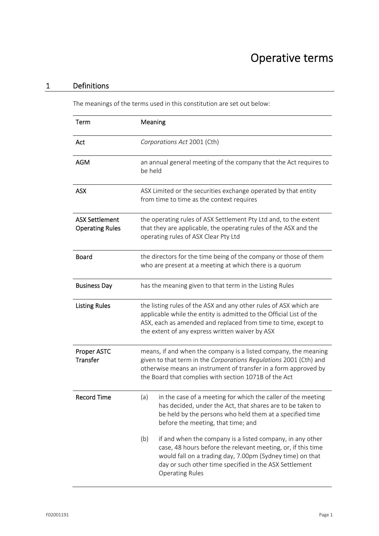## Operative terms

## 1 Definitions

The meanings of the terms used in this constitution are set out below:

| Term                                            | Meaning                                                                                                                                                                                                                                                                           |  |  |
|-------------------------------------------------|-----------------------------------------------------------------------------------------------------------------------------------------------------------------------------------------------------------------------------------------------------------------------------------|--|--|
| Act                                             | Corporations Act 2001 (Cth)                                                                                                                                                                                                                                                       |  |  |
| <b>AGM</b>                                      | an annual general meeting of the company that the Act requires to<br>be held                                                                                                                                                                                                      |  |  |
| <b>ASX</b>                                      | ASX Limited or the securities exchange operated by that entity<br>from time to time as the context requires                                                                                                                                                                       |  |  |
| <b>ASX Settlement</b><br><b>Operating Rules</b> | the operating rules of ASX Settlement Pty Ltd and, to the extent<br>that they are applicable, the operating rules of the ASX and the<br>operating rules of ASX Clear Pty Ltd                                                                                                      |  |  |
| <b>Board</b>                                    | the directors for the time being of the company or those of them<br>who are present at a meeting at which there is a quorum                                                                                                                                                       |  |  |
| <b>Business Day</b>                             | has the meaning given to that term in the Listing Rules                                                                                                                                                                                                                           |  |  |
| <b>Listing Rules</b>                            | the listing rules of the ASX and any other rules of ASX which are<br>applicable while the entity is admitted to the Official List of the<br>ASX, each as amended and replaced from time to time, except to<br>the extent of any express written waiver by ASX                     |  |  |
| <b>Proper ASTC</b><br>Transfer                  | means, if and when the company is a listed company, the meaning<br>given to that term in the Corporations Regulations 2001 (Cth) and<br>otherwise means an instrument of transfer in a form approved by<br>the Board that complies with section 1071B of the Act                  |  |  |
| <b>Record Time</b>                              | in the case of a meeting for which the caller of the meeting<br>(a)<br>has decided, under the Act, that shares are to be taken to<br>be held by the persons who held them at a specified time<br>before the meeting, that time; and                                               |  |  |
|                                                 | (b)<br>if and when the company is a listed company, in any other<br>case, 48 hours before the relevant meeting, or, if this time<br>would fall on a trading day, 7.00pm (Sydney time) on that<br>day or such other time specified in the ASX Settlement<br><b>Operating Rules</b> |  |  |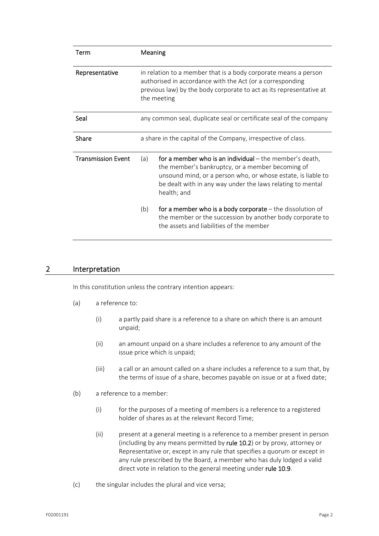| Term                      | Meaning                                                                                                                                                                                                            |                                                                                                                                                                                                                                                            |  |
|---------------------------|--------------------------------------------------------------------------------------------------------------------------------------------------------------------------------------------------------------------|------------------------------------------------------------------------------------------------------------------------------------------------------------------------------------------------------------------------------------------------------------|--|
| Representative            | in relation to a member that is a body corporate means a person<br>authorised in accordance with the Act (or a corresponding<br>previous law) by the body corporate to act as its representative at<br>the meeting |                                                                                                                                                                                                                                                            |  |
| Seal                      |                                                                                                                                                                                                                    | any common seal, duplicate seal or certificate seal of the company                                                                                                                                                                                         |  |
| Share                     | a share in the capital of the Company, irrespective of class.                                                                                                                                                      |                                                                                                                                                                                                                                                            |  |
| <b>Transmission Event</b> | (a)                                                                                                                                                                                                                | for a member who is an individual $-$ the member's death,<br>the member's bankruptcy, or a member becoming of<br>unsound mind, or a person who, or whose estate, is liable to<br>be dealt with in any way under the laws relating to mental<br>health; and |  |
|                           | (b)                                                                                                                                                                                                                | for a member who is a body corporate $-$ the dissolution of<br>the member or the succession by another body corporate to<br>the assets and liabilities of the member                                                                                       |  |

## 2 Interpretation

In this constitution unless the contrary intention appears:

- (a) a reference to:
	- (i) a partly paid share is a reference to a share on which there is an amount unpaid;
	- (ii) an amount unpaid on a share includes a reference to any amount of the issue price which is unpaid;
	- (iii) a call or an amount called on a share includes a reference to a sum that, by the terms of issue of a share, becomes payable on issue or at a fixed date;
- (b) a reference to a member:
	- (i) for the purposes of a meeting of members is a reference to a registered holder of shares as at the relevant Record Time;
	- (ii) present at a general meeting is a reference to a member present in person (including by any means permitted by rule 10.2) or by proxy, attorney or Representative or, except in any rule that specifies a quorum or except in any rule prescribed by the Board, a member who has duly lodged a valid direct vote in relation to the general meeting under rule 10.9.
- (c) the singular includes the plural and vice versa;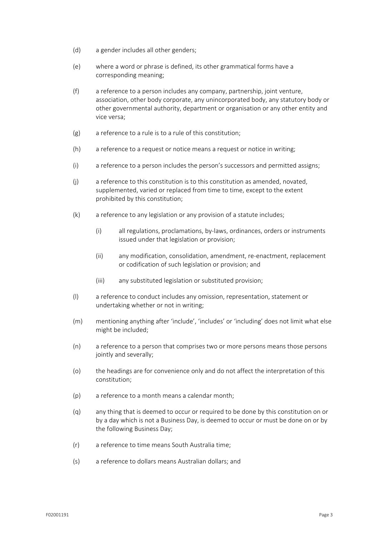- (d) a gender includes all other genders;
- (e) where a word or phrase is defined, its other grammatical forms have a corresponding meaning;
- (f) a reference to a person includes any company, partnership, joint venture, association, other body corporate, any unincorporated body, any statutory body or other governmental authority, department or organisation or any other entity and vice versa;
- (g) a reference to a rule is to a rule of this constitution;
- (h) a reference to a request or notice means a request or notice in writing;
- (i) a reference to a person includes the person's successors and permitted assigns;
- (j) a reference to this constitution is to this constitution as amended, novated, supplemented, varied or replaced from time to time, except to the extent prohibited by this constitution;
- (k) a reference to any legislation or any provision of a statute includes;
	- (i) all regulations, proclamations, by‐laws, ordinances, orders or instruments issued under that legislation or provision;
	- (ii) any modification, consolidation, amendment, re‐enactment, replacement or codification of such legislation or provision; and
	- (iii) any substituted legislation or substituted provision;
- (l) a reference to conduct includes any omission, representation, statement or undertaking whether or not in writing;
- (m) mentioning anything after 'include', 'includes' or 'including' does not limit what else might be included;
- (n) a reference to a person that comprises two or more persons means those persons jointly and severally;
- (o) the headings are for convenience only and do not affect the interpretation of this constitution;
- (p) a reference to a month means a calendar month;
- (q) any thing that is deemed to occur or required to be done by this constitution on or by a day which is not a Business Day, is deemed to occur or must be done on or by the following Business Day;
- (r) a reference to time means South Australia time;
- (s) a reference to dollars means Australian dollars; and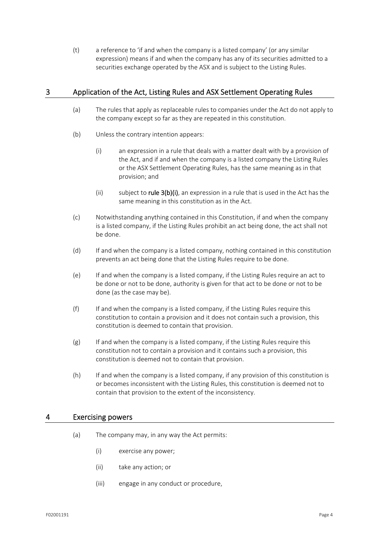(t) a reference to 'if and when the company is a listed company' (or any similar expression) means if and when the company has any of its securities admitted to a securities exchange operated by the ASX and is subject to the Listing Rules.

## 3 Application of the Act, Listing Rules and ASX Settlement Operating Rules

- (a) The rules that apply as replaceable rules to companies under the Act do not apply to the company except so far as they are repeated in this constitution.
- (b) Unless the contrary intention appears:
	- (i) an expression in a rule that deals with a matter dealt with by a provision of the Act, and if and when the company is a listed company the Listing Rules or the ASX Settlement Operating Rules, has the same meaning as in that provision; and
	- (ii) subject to rule  $3(b)$ (i), an expression in a rule that is used in the Act has the same meaning in this constitution as in the Act.
- (c) Notwithstanding anything contained in this Constitution, if and when the company is a listed company, if the Listing Rules prohibit an act being done, the act shall not be done.
- (d) If and when the company is a listed company, nothing contained in this constitution prevents an act being done that the Listing Rules require to be done.
- (e) If and when the company is a listed company, if the Listing Rules require an act to be done or not to be done, authority is given for that act to be done or not to be done (as the case may be).
- (f) If and when the company is a listed company, if the Listing Rules require this constitution to contain a provision and it does not contain such a provision, this constitution is deemed to contain that provision.
- $(g)$  If and when the company is a listed company, if the Listing Rules require this constitution not to contain a provision and it contains such a provision, this constitution is deemed not to contain that provision.
- (h) If and when the company is a listed company, if any provision of this constitution is or becomes inconsistent with the Listing Rules, this constitution is deemed not to contain that provision to the extent of the inconsistency.

## 4 Exercising powers

- (a) The company may, in any way the Act permits:
	- (i) exercise any power;
	- (ii) take any action; or
	- (iii) engage in any conduct or procedure,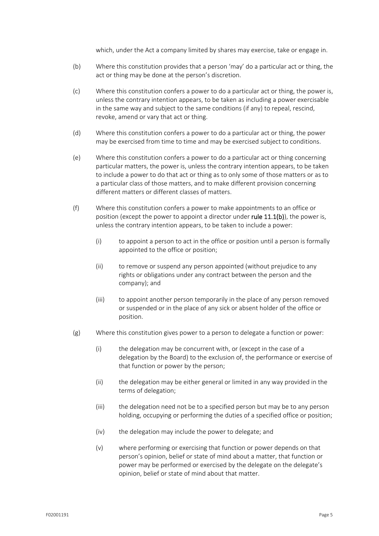which, under the Act a company limited by shares may exercise, take or engage in.

- (b) Where this constitution provides that a person 'may' do a particular act or thing, the act or thing may be done at the person's discretion.
- (c) Where this constitution confers a power to do a particular act or thing, the power is, unless the contrary intention appears, to be taken as including a power exercisable in the same way and subject to the same conditions (if any) to repeal, rescind, revoke, amend or vary that act or thing.
- (d) Where this constitution confers a power to do a particular act or thing, the power may be exercised from time to time and may be exercised subject to conditions.
- (e) Where this constitution confers a power to do a particular act or thing concerning particular matters, the power is, unless the contrary intention appears, to be taken to include a power to do that act or thing as to only some of those matters or as to a particular class of those matters, and to make different provision concerning different matters or different classes of matters.
- (f) Where this constitution confers a power to make appointments to an office or position (except the power to appoint a director under rule 11.1(b)), the power is, unless the contrary intention appears, to be taken to include a power:
	- $(i)$  to appoint a person to act in the office or position until a person is formally appointed to the office or position;
	- (ii) to remove or suspend any person appointed (without prejudice to any rights or obligations under any contract between the person and the company); and
	- (iii) to appoint another person temporarily in the place of any person removed or suspended or in the place of any sick or absent holder of the office or position.
- (g) Where this constitution gives power to a person to delegate a function or power:
	- (i) the delegation may be concurrent with, or (except in the case of a delegation by the Board) to the exclusion of, the performance or exercise of that function or power by the person;
	- (ii) the delegation may be either general or limited in any way provided in the terms of delegation;
	- (iii) the delegation need not be to a specified person but may be to any person holding, occupying or performing the duties of a specified office or position;
	- (iv) the delegation may include the power to delegate; and
	- (v) where performing or exercising that function or power depends on that person's opinion, belief or state of mind about a matter, that function or power may be performed or exercised by the delegate on the delegate's opinion, belief or state of mind about that matter.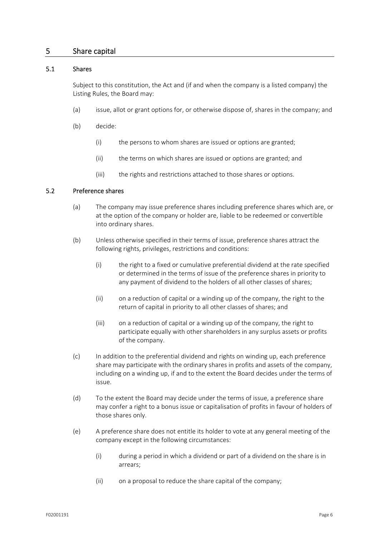## 5 Share capital

## 5.1 Shares

Subject to this constitution, the Act and (if and when the company is a listed company) the Listing Rules, the Board may:

- (a) issue, allot or grant options for, or otherwise dispose of, shares in the company; and
- (b) decide:
	- (i) the persons to whom shares are issued or options are granted;
	- (ii) the terms on which shares are issued or options are granted; and
	- (iii) the rights and restrictions attached to those shares or options.

## 5.2 Preference shares

- (a) The company may issue preference shares including preference shares which are, or at the option of the company or holder are, liable to be redeemed or convertible into ordinary shares.
- (b) Unless otherwise specified in their terms of issue, preference shares attract the following rights, privileges, restrictions and conditions:
	- (i) the right to a fixed or cumulative preferential dividend at the rate specified or determined in the terms of issue of the preference shares in priority to any payment of dividend to the holders of all other classes of shares;
	- (ii) on a reduction of capital or a winding up of the company, the right to the return of capital in priority to all other classes of shares; and
	- (iii) on a reduction of capital or a winding up of the company, the right to participate equally with other shareholders in any surplus assets or profits of the company.
- (c) In addition to the preferential dividend and rights on winding up, each preference share may participate with the ordinary shares in profits and assets of the company, including on a winding up, if and to the extent the Board decides under the terms of issue.
- (d) To the extent the Board may decide under the terms of issue, a preference share may confer a right to a bonus issue or capitalisation of profits in favour of holders of those shares only.
- (e) A preference share does not entitle its holder to vote at any general meeting of the company except in the following circumstances:
	- (i) during a period in which a dividend or part of a dividend on the share is in arrears;
	- (ii) on a proposal to reduce the share capital of the company;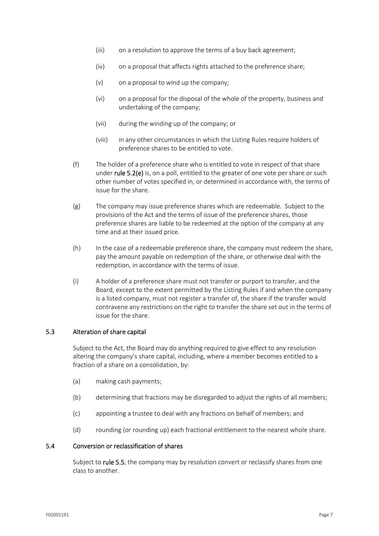- (iii) on a resolution to approve the terms of a buy back agreement;
- (iv) on a proposal that affects rights attached to the preference share;
- (v) on a proposal to wind up the company;
- (vi) on a proposal for the disposal of the whole of the property, business and undertaking of the company;
- (vii) during the winding up of the company; or
- (viii) in any other circumstances in which the Listing Rules require holders of preference shares to be entitled to vote.
- (f) The holder of a preference share who is entitled to vote in respect of that share under rule 5.2(e) is, on a poll, entitled to the greater of one vote per share or such other number of votes specified in, or determined in accordance with, the terms of issue for the share.
- (g) The company may issue preference shares which are redeemable. Subject to the provisions of the Act and the terms of issue of the preference shares, those preference shares are liable to be redeemed at the option of the company at any time and at their issued price.
- (h) In the case of a redeemable preference share, the company must redeem the share, pay the amount payable on redemption of the share, or otherwise deal with the redemption, in accordance with the terms of issue.
- (i) A holder of a preference share must not transfer or purport to transfer, and the Board, except to the extent permitted by the Listing Rules if and when the company is a listed company, must not register a transfer of, the share if the transfer would contravene any restrictions on the right to transfer the share set out in the terms of issue for the share.

## 5.3 Alteration of share capital

Subject to the Act, the Board may do anything required to give effect to any resolution altering the company's share capital, including, where a member becomes entitled to a fraction of a share on a consolidation, by:

- (a) making cash payments;
- (b) determining that fractions may be disregarded to adjust the rights of all members;
- (c) appointing a trustee to deal with any fractions on behalf of members; and
- (d) rounding (or rounding up) each fractional entitlement to the nearest whole share.

#### 5.4 Conversion or reclassification of shares

Subject to rule 5.5, the company may by resolution convert or reclassify shares from one class to another.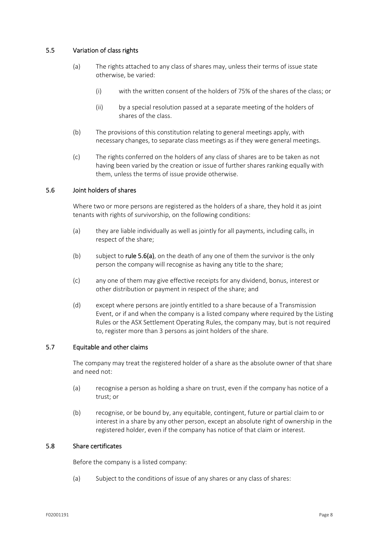## 5.5 Variation of class rights

- (a) The rights attached to any class of shares may, unless their terms of issue state otherwise, be varied:
	- (i) with the written consent of the holders of 75% of the shares of the class; or
	- (ii) by a special resolution passed at a separate meeting of the holders of shares of the class.
- (b) The provisions of this constitution relating to general meetings apply, with necessary changes, to separate class meetings as if they were general meetings.
- (c) The rights conferred on the holders of any class of shares are to be taken as not having been varied by the creation or issue of further shares ranking equally with them, unless the terms of issue provide otherwise.

## 5.6 Joint holders of shares

Where two or more persons are registered as the holders of a share, they hold it as joint tenants with rights of survivorship, on the following conditions:

- (a) they are liable individually as well as jointly for all payments, including calls, in respect of the share;
- (b) subject to rule  $5.6(a)$ , on the death of any one of them the survivor is the only person the company will recognise as having any title to the share;
- (c) any one of them may give effective receipts for any dividend, bonus, interest or other distribution or payment in respect of the share; and
- (d) except where persons are jointly entitled to a share because of a Transmission Event, or if and when the company is a listed company where required by the Listing Rules or the ASX Settlement Operating Rules, the company may, but is not required to, register more than 3 persons as joint holders of the share.

## 5.7 Equitable and other claims

The company may treat the registered holder of a share as the absolute owner of that share and need not:

- (a) recognise a person as holding a share on trust, even if the company has notice of a trust; or
- (b) recognise, or be bound by, any equitable, contingent, future or partial claim to or interest in a share by any other person, except an absolute right of ownership in the registered holder, even if the company has notice of that claim or interest.

## 5.8 Share certificates

Before the company is a listed company:

(a) Subject to the conditions of issue of any shares or any class of shares: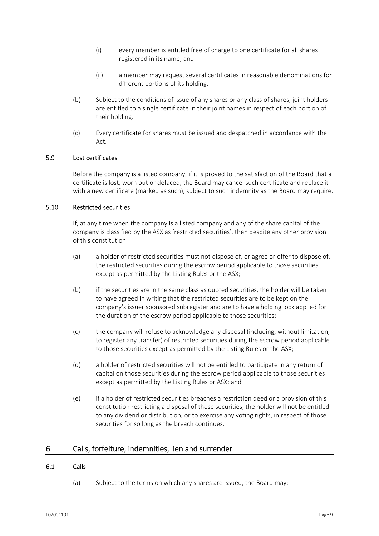- (i) every member is entitled free of charge to one certificate for all shares registered in its name; and
- (ii) a member may request several certificates in reasonable denominations for different portions of its holding.
- (b) Subject to the conditions of issue of any shares or any class of shares, joint holders are entitled to a single certificate in their joint names in respect of each portion of their holding.
- (c) Every certificate for shares must be issued and despatched in accordance with the Act.

## 5.9 Lost certificates

Before the company is a listed company, if it is proved to the satisfaction of the Board that a certificate is lost, worn out or defaced, the Board may cancel such certificate and replace it with a new certificate (marked as such), subject to such indemnity as the Board may require.

## 5.10 Restricted securities

If, at any time when the company is a listed company and any of the share capital of the company is classified by the ASX as 'restricted securities', then despite any other provision of this constitution:

- (a) a holder of restricted securities must not dispose of, or agree or offer to dispose of, the restricted securities during the escrow period applicable to those securities except as permitted by the Listing Rules or the ASX;
- (b) if the securities are in the same class as quoted securities, the holder will be taken to have agreed in writing that the restricted securities are to be kept on the company's issuer sponsored subregister and are to have a holding lock applied for the duration of the escrow period applicable to those securities;
- (c) the company will refuse to acknowledge any disposal (including, without limitation, to register any transfer) of restricted securities during the escrow period applicable to those securities except as permitted by the Listing Rules or the ASX;
- (d) a holder of restricted securities will not be entitled to participate in any return of capital on those securities during the escrow period applicable to those securities except as permitted by the Listing Rules or ASX; and
- (e) if a holder of restricted securities breaches a restriction deed or a provision of this constitution restricting a disposal of those securities, the holder will not be entitled to any dividend or distribution, or to exercise any voting rights, in respect of those securities for so long as the breach continues.

## 6 Calls, forfeiture, indemnities, lien and surrender

## 6.1 Calls

(a) Subject to the terms on which any shares are issued, the Board may: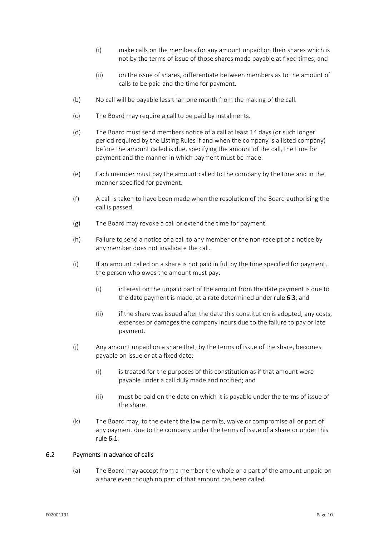- (i) make calls on the members for any amount unpaid on their shares which is not by the terms of issue of those shares made payable at fixed times; and
- (ii) on the issue of shares, differentiate between members as to the amount of calls to be paid and the time for payment.
- (b) No call will be payable less than one month from the making of the call.
- (c) The Board may require a call to be paid by instalments.
- (d) The Board must send members notice of a call at least 14 days (or such longer period required by the Listing Rules if and when the company is a listed company) before the amount called is due, specifying the amount of the call, the time for payment and the manner in which payment must be made.
- (e) Each member must pay the amount called to the company by the time and in the manner specified for payment.
- (f) A call is taken to have been made when the resolution of the Board authorising the call is passed.
- (g) The Board may revoke a call or extend the time for payment.
- (h) Failure to send a notice of a call to any member or the non‐receipt of a notice by any member does not invalidate the call.
- (i) If an amount called on a share is not paid in full by the time specified for payment, the person who owes the amount must pay:
	- (i) interest on the unpaid part of the amount from the date payment is due to the date payment is made, at a rate determined under rule 6.3; and
	- (ii) if the share was issued after the date this constitution is adopted, any costs, expenses or damages the company incurs due to the failure to pay or late payment.
- (j) Any amount unpaid on a share that, by the terms of issue of the share, becomes payable on issue or at a fixed date:
	- (i) is treated for the purposes of this constitution as if that amount were payable under a call duly made and notified; and
	- (ii) must be paid on the date on which it is payable under the terms of issue of the share.
- (k) The Board may, to the extent the law permits, waive or compromise all or part of any payment due to the company under the terms of issue of a share or under this rule 6.1.

## 6.2 Payments in advance of calls

(a) The Board may accept from a member the whole or a part of the amount unpaid on a share even though no part of that amount has been called.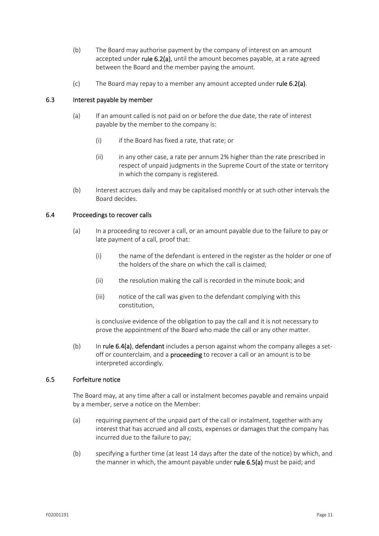- (b) The Board may authorise payment by the company of interest on an amount accepted under rule 6.2(a), until the amount becomes payable, at a rate agreed between the Board and the member paying the amount.
- (c) The Board may repay to a member any amount accepted under rule  $6.2(a)$ .

## 6.3 Interest payable by member

- (a) If an amount called is not paid on or before the due date, the rate of interest payable by the member to the company is:
	- (i) if the Board has fixed a rate, that rate; or
	- (ii) in any other case, a rate per annum 2% higher than the rate prescribed in respect of unpaid judgments in the Supreme Court of the state or territory in which the company is registered.
- (b) Interest accrues daily and may be capitalised monthly or at such other intervals the Board decides.

## 6.4 Proceedings to recover calls

- (a) In a proceeding to recover a call, or an amount payable due to the failure to pay or late payment of a call, proof that:
	- (i) the name of the defendant is entered in the register as the holder or one of the holders of the share on which the call is claimed;
	- (ii) the resolution making the call is recorded in the minute book; and
	- (iii) notice of the call was given to the defendant complying with this constitution,

is conclusive evidence of the obligation to pay the call and it is not necessary to prove the appointment of the Board who made the call or any other matter.

(b) In rule  $6.4(a)$ , defendant includes a person against whom the company alleges a setoff or counterclaim, and a **proceeding** to recover a call or an amount is to be interpreted accordingly.

## 6.5 Forfeiture notice

The Board may, at any time after a call or instalment becomes payable and remains unpaid by a member, serve a notice on the Member:

- (a) requiring payment of the unpaid part of the call or instalment, together with any interest that has accrued and all costs, expenses or damages that the company has incurred due to the failure to pay;
- (b) specifying a further time (at least 14 days after the date of the notice) by which, and the manner in which, the amount payable under rule 6.5(a) must be paid; and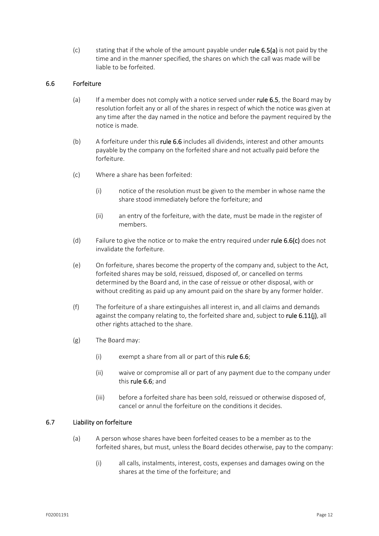(c) stating that if the whole of the amount payable under rule  $6.5(a)$  is not paid by the time and in the manner specified, the shares on which the call was made will be liable to be forfeited.

## 6.6 Forfeiture

- (a) If a member does not comply with a notice served under rule 6.5, the Board may by resolution forfeit any or all of the shares in respect of which the notice was given at any time after the day named in the notice and before the payment required by the notice is made.
- (b) A forfeiture under this rule 6.6 includes all dividends, interest and other amounts payable by the company on the forfeited share and not actually paid before the forfeiture.
- (c) Where a share has been forfeited:
	- (i) notice of the resolution must be given to the member in whose name the share stood immediately before the forfeiture; and
	- (ii) an entry of the forfeiture, with the date, must be made in the register of members.
- (d) Failure to give the notice or to make the entry required under rule  $6.6(c)$  does not invalidate the forfeiture.
- (e) On forfeiture, shares become the property of the company and, subject to the Act, forfeited shares may be sold, reissued, disposed of, or cancelled on terms determined by the Board and, in the case of reissue or other disposal, with or without crediting as paid up any amount paid on the share by any former holder.
- (f) The forfeiture of a share extinguishes all interest in, and all claims and demands against the company relating to, the forfeited share and, subject to rule 6.11 $(j)$ , all other rights attached to the share.
- (g) The Board may:
	- (i) exempt a share from all or part of this **rule 6.6**;
	- (ii) waive or compromise all or part of any payment due to the company under this rule 6.6; and
	- (iii) before a forfeited share has been sold, reissued or otherwise disposed of, cancel or annul the forfeiture on the conditions it decides.

## 6.7 Liability on forfeiture

- (a) A person whose shares have been forfeited ceases to be a member as to the forfeited shares, but must, unless the Board decides otherwise, pay to the company:
	- (i) all calls, instalments, interest, costs, expenses and damages owing on the shares at the time of the forfeiture; and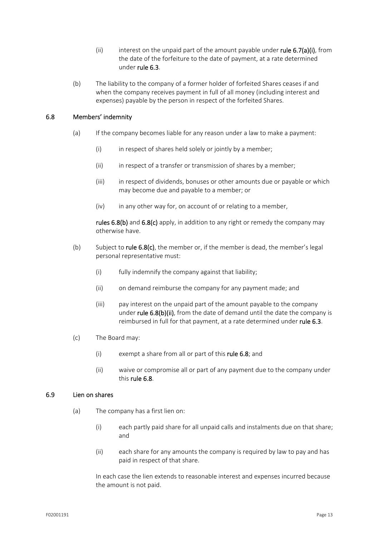- (ii) interest on the unpaid part of the amount payable under rule  $6.7(a)(i)$ , from the date of the forfeiture to the date of payment, at a rate determined under rule 6.3.
- (b) The liability to the company of a former holder of forfeited Shares ceases if and when the company receives payment in full of all money (including interest and expenses) payable by the person in respect of the forfeited Shares.

## 6.8 Members' indemnity

- (a) If the company becomes liable for any reason under a law to make a payment:
	- (i) in respect of shares held solely or jointly by a member;
	- (ii) in respect of a transfer or transmission of shares by a member;
	- (iii) in respect of dividends, bonuses or other amounts due or payable or which may become due and payable to a member; or
	- $(iv)$  in any other way for, on account of or relating to a member,

rules 6.8(b) and 6.8(c) apply, in addition to any right or remedy the company may otherwise have.

- (b) Subject to rule  $6.8(c)$ , the member or, if the member is dead, the member's legal personal representative must:
	- (i) fully indemnify the company against that liability;
	- (ii) on demand reimburse the company for any payment made; and
	- (iii) pay interest on the unpaid part of the amount payable to the company under **rule 6.8(b)(ii)**, from the date of demand until the date the company is reimbursed in full for that payment, at a rate determined under rule 6.3.
- (c) The Board may:
	- (i) exempt a share from all or part of this rule  $6.8$ ; and
	- (ii) waive or compromise all or part of any payment due to the company under this rule 6.8.

## 6.9 Lien on shares

- (a) The company has a first lien on:
	- (i) each partly paid share for all unpaid calls and instalments due on that share; and
	- (ii) each share for any amounts the company is required by law to pay and has paid in respect of that share.

In each case the lien extends to reasonable interest and expenses incurred because the amount is not paid.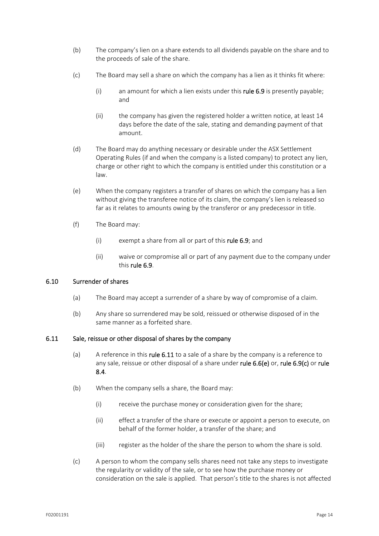- (b) The company's lien on a share extends to all dividends payable on the share and to the proceeds of sale of the share.
- (c) The Board may sell a share on which the company has a lien as it thinks fit where:
	- (i) an amount for which a lien exists under this rule 6.9 is presently payable; and
	- (ii) the company has given the registered holder a written notice, at least 14 days before the date of the sale, stating and demanding payment of that amount.
- (d) The Board may do anything necessary or desirable under the ASX Settlement Operating Rules (if and when the company is a listed company) to protect any lien, charge or other right to which the company is entitled under this constitution or a law.
- (e) When the company registers a transfer of shares on which the company has a lien without giving the transferee notice of its claim, the company's lien is released so far as it relates to amounts owing by the transferor or any predecessor in title.
- (f) The Board may:
	- (i) exempt a share from all or part of this rule 6.9; and
	- (ii) waive or compromise all or part of any payment due to the company under this rule 6.9.

## 6.10 Surrender of shares

- (a) The Board may accept a surrender of a share by way of compromise of a claim.
- (b) Any share so surrendered may be sold, reissued or otherwise disposed of in the same manner as a forfeited share.

## 6.11 Sale, reissue or other disposal of shares by the company

- (a) A reference in this rule 6.11 to a sale of a share by the company is a reference to any sale, reissue or other disposal of a share under rule 6.6(e) or, rule 6.9(c) or rule 8.4.
- (b) When the company sells a share, the Board may:
	- (i) receive the purchase money or consideration given for the share;
	- (ii) effect a transfer of the share or execute or appoint a person to execute, on behalf of the former holder, a transfer of the share; and
	- (iii) register as the holder of the share the person to whom the share is sold.
- (c) A person to whom the company sells shares need not take any steps to investigate the regularity or validity of the sale, or to see how the purchase money or consideration on the sale is applied. That person's title to the shares is not affected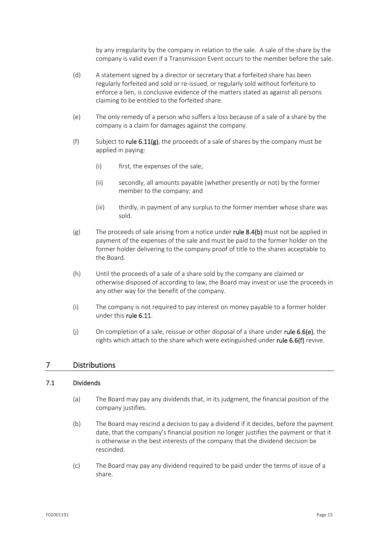by any irregularity by the company in relation to the sale. A sale of the share by the company is valid even if a Transmission Event occurs to the member before the sale.

- (d) A statement signed by a director or secretary that a forfeited share has been regularly forfeited and sold or re‐issued, or regularly sold without forfeiture to enforce a lien, is conclusive evidence of the matters stated as against all persons claiming to be entitled to the forfeited share.
- (e) The only remedy of a person who suffers a loss because of a sale of a share by the company is a claim for damages against the company.
- (f) Subject to rule 6.11(g), the proceeds of a sale of shares by the company must be applied in paying:
	- (i) first, the expenses of the sale;
	- (ii) secondly, all amounts payable (whether presently or not) by the former member to the company; and
	- (iii) thirdly, in payment of any surplus to the former member whose share was sold.
- (g) The proceeds of sale arising from a notice under **rule 8.4(b)** must not be applied in payment of the expenses of the sale and must be paid to the former holder on the former holder delivering to the company proof of title to the shares acceptable to the Board.
- (h) Until the proceeds of a sale of a share sold by the company are claimed or otherwise disposed of according to law, the Board may invest or use the proceeds in any other way for the benefit of the company.
- (i) The company is not required to pay interest on money payable to a former holder under this rule 6.11.
- (i) On completion of a sale, reissue or other disposal of a share under rule  $6.6(e)$ , the rights which attach to the share which were extinguished under rule 6.6(f) revive.

## 7 Distributions

#### 7.1 Dividends

- (a) The Board may pay any dividends that, in its judgment, the financial position of the company justifies.
- (b) The Board may rescind a decision to pay a dividend if it decides, before the payment date, that the company's financial position no longer justifies the payment or that it is otherwise in the best interests of the company that the dividend decision be rescinded.
- (c) The Board may pay any dividend required to be paid under the terms of issue of a share.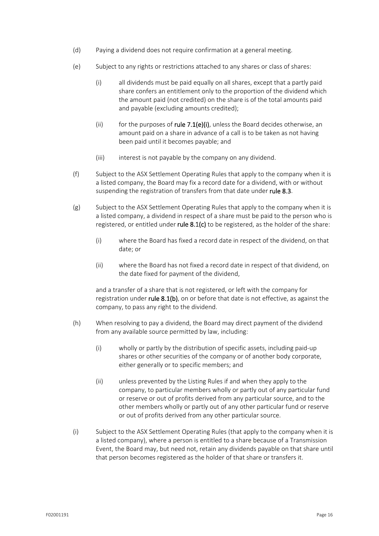- (d) Paying a dividend does not require confirmation at a general meeting.
- (e) Subject to any rights or restrictions attached to any shares or class of shares:
	- (i) all dividends must be paid equally on all shares, except that a partly paid share confers an entitlement only to the proportion of the dividend which the amount paid (not credited) on the share is of the total amounts paid and payable (excluding amounts credited);
	- (ii) for the purposes of rule  $7.1(e)$ (i), unless the Board decides otherwise, an amount paid on a share in advance of a call is to be taken as not having been paid until it becomes payable; and
	- (iii) interest is not payable by the company on any dividend.
- (f) Subject to the ASX Settlement Operating Rules that apply to the company when it is a listed company, the Board may fix a record date for a dividend, with or without suspending the registration of transfers from that date under rule 8.3.
- (g) Subject to the ASX Settlement Operating Rules that apply to the company when it is a listed company, a dividend in respect of a share must be paid to the person who is registered, or entitled under rule  $8.1(c)$  to be registered, as the holder of the share:
	- (i) where the Board has fixed a record date in respect of the dividend, on that date; or
	- (ii) where the Board has not fixed a record date in respect of that dividend, on the date fixed for payment of the dividend,

and a transfer of a share that is not registered, or left with the company for registration under rule  $8.1(b)$ , on or before that date is not effective, as against the company, to pass any right to the dividend.

- (h) When resolving to pay a dividend, the Board may direct payment of the dividend from any available source permitted by law, including:
	- (i) wholly or partly by the distribution of specific assets, including paid‐up shares or other securities of the company or of another body corporate, either generally or to specific members; and
	- (ii) unless prevented by the Listing Rules if and when they apply to the company, to particular members wholly or partly out of any particular fund or reserve or out of profits derived from any particular source, and to the other members wholly or partly out of any other particular fund or reserve or out of profits derived from any other particular source.
- (i) Subject to the ASX Settlement Operating Rules (that apply to the company when it is a listed company), where a person is entitled to a share because of a Transmission Event, the Board may, but need not, retain any dividends payable on that share until that person becomes registered as the holder of that share or transfers it.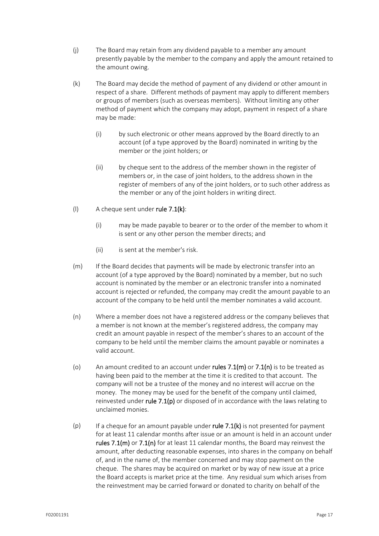- (j) The Board may retain from any dividend payable to a member any amount presently payable by the member to the company and apply the amount retained to the amount owing.
- (k) The Board may decide the method of payment of any dividend or other amount in respect of a share. Different methods of payment may apply to different members or groups of members (such as overseas members). Without limiting any other method of payment which the company may adopt, payment in respect of a share may be made:
	- (i) by such electronic or other means approved by the Board directly to an account (of a type approved by the Board) nominated in writing by the member or the joint holders; or
	- (ii) by cheque sent to the address of the member shown in the register of members or, in the case of joint holders, to the address shown in the register of members of any of the joint holders, or to such other address as the member or any of the joint holders in writing direct.

## (I) A cheque sent under rule  $7.1(k)$ :

- (i) may be made payable to bearer or to the order of the member to whom it is sent or any other person the member directs; and
- (ii) is sent at the member's risk.
- (m) If the Board decides that payments will be made by electronic transfer into an account (of a type approved by the Board) nominated by a member, but no such account is nominated by the member or an electronic transfer into a nominated account is rejected or refunded, the company may credit the amount payable to an account of the company to be held until the member nominates a valid account.
- (n) Where a member does not have a registered address or the company believes that a member is not known at the member's registered address, the company may credit an amount payable in respect of the member's shares to an account of the company to be held until the member claims the amount payable or nominates a valid account.
- (o) An amount credited to an account under rules  $7.1(m)$  or  $7.1(n)$  is to be treated as having been paid to the member at the time it is credited to that account. The company will not be a trustee of the money and no interest will accrue on the money. The money may be used for the benefit of the company until claimed, reinvested under rule  $7.1(p)$  or disposed of in accordance with the laws relating to unclaimed monies.
- (p) If a cheque for an amount payable under rule 7.1(k) is not presented for payment for at least 11 calendar months after issue or an amount is held in an account under rules  $7.1(m)$  or  $7.1(n)$  for at least 11 calendar months, the Board may reinvest the amount, after deducting reasonable expenses, into shares in the company on behalf of, and in the name of, the member concerned and may stop payment on the cheque. The shares may be acquired on market or by way of new issue at a price the Board accepts is market price at the time. Any residual sum which arises from the reinvestment may be carried forward or donated to charity on behalf of the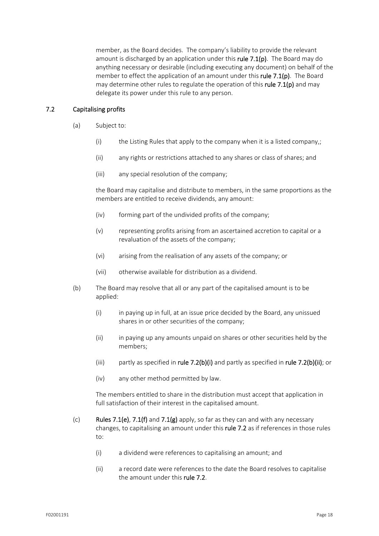member, as the Board decides. The company's liability to provide the relevant amount is discharged by an application under this rule  $7.1(p)$ . The Board may do anything necessary or desirable (including executing any document) on behalf of the member to effect the application of an amount under this rule  $7.1(p)$ . The Board may determine other rules to regulate the operation of this rule  $7.1(p)$  and may delegate its power under this rule to any person.

## 7.2 Capitalising profits

- (a) Subject to:
	- (i) the Listing Rules that apply to the company when it is a listed company,;
	- (ii) any rights or restrictions attached to any shares or class of shares; and
	- (iii) any special resolution of the company;

the Board may capitalise and distribute to members, in the same proportions as the members are entitled to receive dividends, any amount:

- (iv) forming part of the undivided profits of the company;
- (v) representing profits arising from an ascertained accretion to capital or a revaluation of the assets of the company;
- (vi) arising from the realisation of any assets of the company; or
- (vii) otherwise available for distribution as a dividend.
- (b) The Board may resolve that all or any part of the capitalised amount is to be applied:
	- (i) in paying up in full, at an issue price decided by the Board, any unissued shares in or other securities of the company;
	- (ii) in paying up any amounts unpaid on shares or other securities held by the members;
	- (iii) partly as specified in rule  $7.2(b)(i)$  and partly as specified in rule  $7.2(b)(ii)$ ; or
	- (iv) any other method permitted by law.

The members entitled to share in the distribution must accept that application in full satisfaction of their interest in the capitalised amount.

- (c) Rules 7.1(e), 7.1(f) and 7.1(g) apply, so far as they can and with any necessary changes, to capitalising an amount under this rule 7.2 as if references in those rules  $t \circ$ :
	- (i) a dividend were references to capitalising an amount; and
	- (ii) a record date were references to the date the Board resolves to capitalise the amount under this rule 7.2.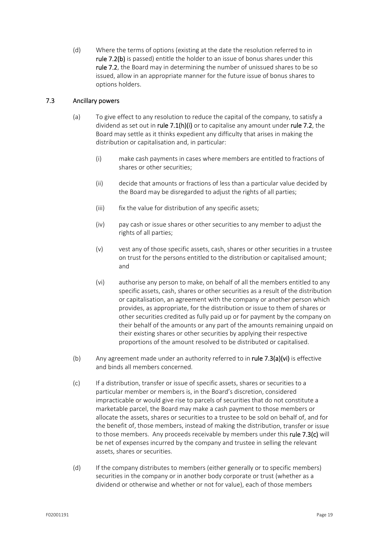(d) Where the terms of options (existing at the date the resolution referred to in rule 7.2(b) is passed) entitle the holder to an issue of bonus shares under this rule 7.2, the Board may in determining the number of unissued shares to be so issued, allow in an appropriate manner for the future issue of bonus shares to options holders.

## 7.3 Ancillary powers

- (a) To give effect to any resolution to reduce the capital of the company, to satisfy a dividend as set out in rule  $7.1(h)(i)$  or to capitalise any amount under rule 7.2, the Board may settle as it thinks expedient any difficulty that arises in making the distribution or capitalisation and, in particular:
	- (i) make cash payments in cases where members are entitled to fractions of shares or other securities;
	- (ii) decide that amounts or fractions of less than a particular value decided by the Board may be disregarded to adjust the rights of all parties;
	- (iii) fix the value for distribution of any specific assets;
	- (iv) pay cash or issue shares or other securities to any member to adjust the rights of all parties;
	- (v) vest any of those specific assets, cash, shares or other securities in a trustee on trust for the persons entitled to the distribution or capitalised amount; and
	- (vi) authorise any person to make, on behalf of all the members entitled to any specific assets, cash, shares or other securities as a result of the distribution or capitalisation, an agreement with the company or another person which provides, as appropriate, for the distribution or issue to them of shares or other securities credited as fully paid up or for payment by the company on their behalf of the amounts or any part of the amounts remaining unpaid on their existing shares or other securities by applying their respective proportions of the amount resolved to be distributed or capitalised.
- (b) Any agreement made under an authority referred to in rule  $7.3(a)(vi)$  is effective and binds all members concerned.
- (c) If a distribution, transfer or issue of specific assets, shares or securities to a particular member or members is, in the Board's discretion, considered impracticable or would give rise to parcels of securities that do not constitute a marketable parcel, the Board may make a cash payment to those members or allocate the assets, shares or securities to a trustee to be sold on behalf of, and for the benefit of, those members, instead of making the distribution, transfer or issue to those members. Any proceeds receivable by members under this rule 7.3(c) will be net of expenses incurred by the company and trustee in selling the relevant assets, shares or securities.
- (d) If the company distributes to members (either generally or to specific members) securities in the company or in another body corporate or trust (whether as a dividend or otherwise and whether or not for value), each of those members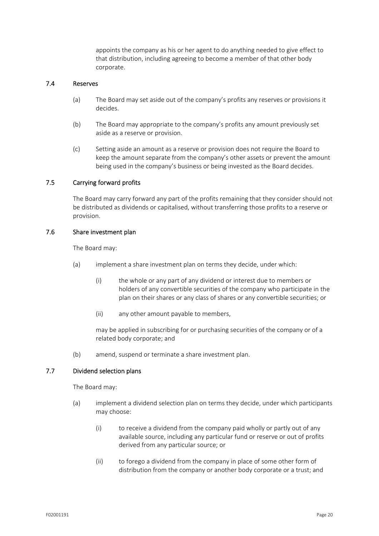appoints the company as his or her agent to do anything needed to give effect to that distribution, including agreeing to become a member of that other body corporate.

## 7.4 Reserves

- (a) The Board may set aside out of the company's profits any reserves or provisions it decides.
- (b) The Board may appropriate to the company's profits any amount previously set aside as a reserve or provision.
- (c) Setting aside an amount as a reserve or provision does not require the Board to keep the amount separate from the company's other assets or prevent the amount being used in the company's business or being invested as the Board decides.

## 7.5 Carrying forward profits

The Board may carry forward any part of the profits remaining that they consider should not be distributed as dividends or capitalised, without transferring those profits to a reserve or provision.

## 7.6 Share investment plan

The Board may:

- (a) implement a share investment plan on terms they decide, under which:
	- (i) the whole or any part of any dividend or interest due to members or holders of any convertible securities of the company who participate in the plan on their shares or any class of shares or any convertible securities; or
	- (ii) any other amount payable to members,

may be applied in subscribing for or purchasing securities of the company or of a related body corporate; and

(b) amend, suspend or terminate a share investment plan.

## 7.7 Dividend selection plans

The Board may:

- (a) implement a dividend selection plan on terms they decide, under which participants may choose:
	- (i) to receive a dividend from the company paid wholly or partly out of any available source, including any particular fund or reserve or out of profits derived from any particular source; or
	- (ii) to forego a dividend from the company in place of some other form of distribution from the company or another body corporate or a trust; and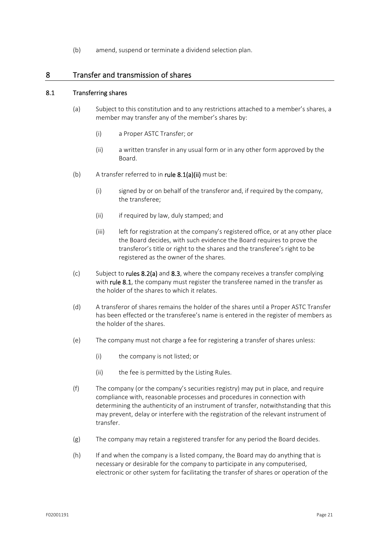(b) amend, suspend or terminate a dividend selection plan.

## 8 Transfer and transmission of shares

## 8.1 Transferring shares

- (a) Subject to this constitution and to any restrictions attached to a member's shares, a member may transfer any of the member's shares by:
	- (i) a Proper ASTC Transfer; or
	- (ii) a written transfer in any usual form or in any other form approved by the Board.
- (b) A transfer referred to in rule  $8.1(a)(ii)$  must be:
	- (i) signed by or on behalf of the transferor and, if required by the company, the transferee;
	- (ii) if required by law, duly stamped; and
	- (iii) left for registration at the company's registered office, or at any other place the Board decides, with such evidence the Board requires to prove the transferor's title or right to the shares and the transferee's right to be registered as the owner of the shares.
- (c) Subject to rules 8.2(a) and 8.3, where the company receives a transfer complying with rule 8.1, the company must register the transferee named in the transfer as the holder of the shares to which it relates.
- (d) A transferor of shares remains the holder of the shares until a Proper ASTC Transfer has been effected or the transferee's name is entered in the register of members as the holder of the shares.
- (e) The company must not charge a fee for registering a transfer of shares unless:
	- (i) the company is not listed; or
	- (ii) the fee is permitted by the Listing Rules.
- (f) The company (or the company's securities registry) may put in place, and require compliance with, reasonable processes and procedures in connection with determining the authenticity of an instrument of transfer, notwithstanding that this may prevent, delay or interfere with the registration of the relevant instrument of transfer.
- (g) The company may retain a registered transfer for any period the Board decides.
- (h) If and when the company is a listed company, the Board may do anything that is necessary or desirable for the company to participate in any computerised, electronic or other system for facilitating the transfer of shares or operation of the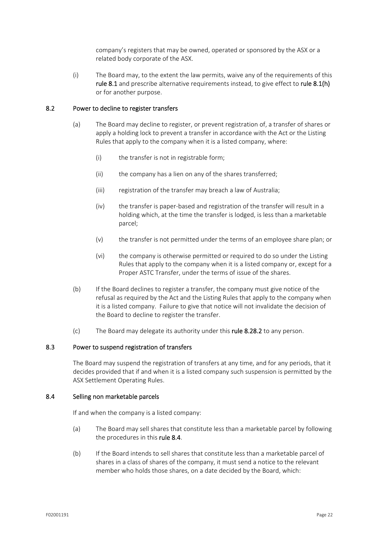company's registers that may be owned, operated or sponsored by the ASX or a related body corporate of the ASX.

(i) The Board may, to the extent the law permits, waive any of the requirements of this rule 8.1 and prescribe alternative requirements instead, to give effect to rule 8.1(h) or for another purpose.

## 8.2 Power to decline to register transfers

- (a) The Board may decline to register, or prevent registration of, a transfer of shares or apply a holding lock to prevent a transfer in accordance with the Act or the Listing Rules that apply to the company when it is a listed company, where:
	- (i) the transfer is not in registrable form;
	- (ii) the company has a lien on any of the shares transferred;
	- (iii) registration of the transfer may breach a law of Australia;
	- (iv) the transfer is paper‐based and registration of the transfer will result in a holding which, at the time the transfer is lodged, is less than a marketable parcel;
	- (v) the transfer is not permitted under the terms of an employee share plan; or
	- (vi) the company is otherwise permitted or required to do so under the Listing Rules that apply to the company when it is a listed company or, except for a Proper ASTC Transfer, under the terms of issue of the shares.
- (b) If the Board declines to register a transfer, the company must give notice of the refusal as required by the Act and the Listing Rules that apply to the company when it is a listed company. Failure to give that notice will not invalidate the decision of the Board to decline to register the transfer.
- (c) The Board may delegate its authority under this rule 8.28.2 to any person.

## 8.3 Power to suspend registration of transfers

The Board may suspend the registration of transfers at any time, and for any periods, that it decides provided that if and when it is a listed company such suspension is permitted by the ASX Settlement Operating Rules.

## 8.4 Selling non marketable parcels

If and when the company is a listed company:

- (a) The Board may sell shares that constitute less than a marketable parcel by following the procedures in this rule 8.4.
- (b) If the Board intends to sell shares that constitute less than a marketable parcel of shares in a class of shares of the company, it must send a notice to the relevant member who holds those shares, on a date decided by the Board, which: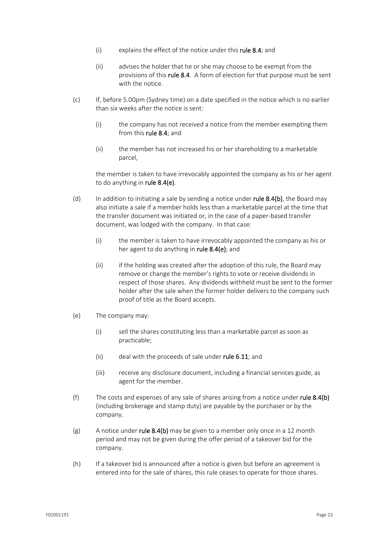- (i) explains the effect of the notice under this rule 8.4; and
- (ii) advises the holder that he or she may choose to be exempt from the provisions of this rule 8.4. A form of election for that purpose must be sent with the notice.
- (c) If, before 5.00pm (Sydney time) on a date specified in the notice which is no earlier than six weeks after the notice is sent:
	- (i) the company has not received a notice from the member exempting them from this rule 8.4; and
	- (ii) the member has not increased his or her shareholding to a marketable parcel,

the member is taken to have irrevocably appointed the company as his or her agent to do anything in rule 8.4(e).

- (d) In addition to initiating a sale by sending a notice under rule  $8.4(b)$ , the Board may also initiate a sale if a member holds less than a marketable parcel at the time that the transfer document was initiated or, in the case of a paper‐based transfer document, was lodged with the company. In that case:
	- (i) the member is taken to have irrevocably appointed the company as his or her agent to do anything in rule 8.4(e); and
	- (ii) if the holding was created after the adoption of this rule, the Board may remove or change the member's rights to vote or receive dividends in respect of those shares. Any dividends withheld must be sent to the former holder after the sale when the former holder delivers to the company such proof of title as the Board accepts.
- (e) The company may:
	- (i) sell the shares constituting less than a marketable parcel as soon as practicable;
	- (ii) deal with the proceeds of sale under rule 6.11; and
	- (iii) receive any disclosure document, including a financial services guide, as agent for the member.
- (f) The costs and expenses of any sale of shares arising from a notice under rule  $8.4(b)$ (including brokerage and stamp duty) are payable by the purchaser or by the company.
- (g) A notice under rule 8.4(b) may be given to a member only once in a 12 month period and may not be given during the offer period of a takeover bid for the company.
- (h) If a takeover bid is announced after a notice is given but before an agreement is entered into for the sale of shares, this rule ceases to operate for those shares.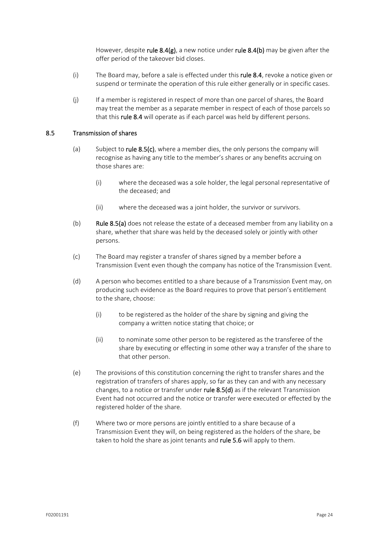However, despite rule 8.4(g), a new notice under rule 8.4(b) may be given after the offer period of the takeover bid closes.

- (i) The Board may, before a sale is effected under this **rule 8.4**, revoke a notice given or suspend or terminate the operation of this rule either generally or in specific cases.
- (j) If a member is registered in respect of more than one parcel of shares, the Board may treat the member as a separate member in respect of each of those parcels so that this rule 8.4 will operate as if each parcel was held by different persons.

## 8.5 Transmission of shares

- (a) Subject to rule  $8.5(c)$ , where a member dies, the only persons the company will recognise as having any title to the member's shares or any benefits accruing on those shares are:
	- (i) where the deceased was a sole holder, the legal personal representative of the deceased; and
	- (ii) where the deceased was a joint holder, the survivor or survivors.
- (b) Rule 8.5(a) does not release the estate of a deceased member from any liability on a share, whether that share was held by the deceased solely or jointly with other persons.
- (c) The Board may register a transfer of shares signed by a member before a Transmission Event even though the company has notice of the Transmission Event.
- (d) A person who becomes entitled to a share because of a Transmission Event may, on producing such evidence as the Board requires to prove that person's entitlement to the share, choose:
	- (i) to be registered as the holder of the share by signing and giving the company a written notice stating that choice; or
	- (ii) to nominate some other person to be registered as the transferee of the share by executing or effecting in some other way a transfer of the share to that other person.
- (e) The provisions of this constitution concerning the right to transfer shares and the registration of transfers of shares apply, so far as they can and with any necessary changes, to a notice or transfer under rule  $8.5(d)$  as if the relevant Transmission Event had not occurred and the notice or transfer were executed or effected by the registered holder of the share.
- (f) Where two or more persons are jointly entitled to a share because of a Transmission Event they will, on being registered as the holders of the share, be taken to hold the share as joint tenants and rule 5.6 will apply to them.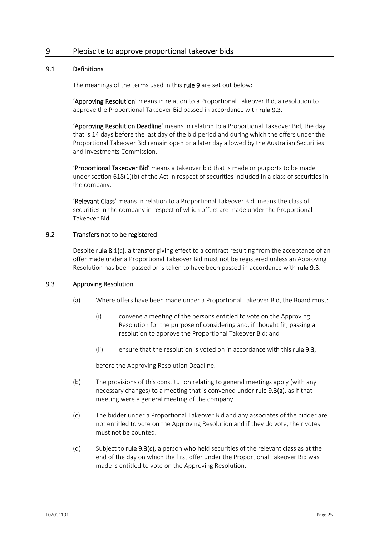## 9 Plebiscite to approve proportional takeover bids

## 9.1 Definitions

The meanings of the terms used in this rule 9 are set out below:

'Approving Resolution' means in relation to a Proportional Takeover Bid, a resolution to approve the Proportional Takeover Bid passed in accordance with rule 9.3.

'Approving Resolution Deadline' means in relation to a Proportional Takeover Bid, the day that is 14 days before the last day of the bid period and during which the offers under the Proportional Takeover Bid remain open or a later day allowed by the Australian Securities and Investments Commission.

'Proportional Takeover Bid' means a takeover bid that is made or purports to be made under section 618(1)(b) of the Act in respect of securities included in a class of securities in the company.

'Relevant Class' means in relation to a Proportional Takeover Bid, means the class of securities in the company in respect of which offers are made under the Proportional Takeover Bid.

## 9.2 Transfers not to be registered

Despite rule 8.1(c), a transfer giving effect to a contract resulting from the acceptance of an offer made under a Proportional Takeover Bid must not be registered unless an Approving Resolution has been passed or is taken to have been passed in accordance with rule 9.3.

## 9.3 Approving Resolution

- (a) Where offers have been made under a Proportional Takeover Bid, the Board must:
	- (i) convene a meeting of the persons entitled to vote on the Approving Resolution for the purpose of considering and, if thought fit, passing a resolution to approve the Proportional Takeover Bid; and
	- (ii) ensure that the resolution is voted on in accordance with this rule 9.3,

before the Approving Resolution Deadline.

- (b) The provisions of this constitution relating to general meetings apply (with any necessary changes) to a meeting that is convened under rule 9.3(a), as if that meeting were a general meeting of the company.
- (c) The bidder under a Proportional Takeover Bid and any associates of the bidder are not entitled to vote on the Approving Resolution and if they do vote, their votes must not be counted.
- (d) Subject to rule  $9.3(c)$ , a person who held securities of the relevant class as at the end of the day on which the first offer under the Proportional Takeover Bid was made is entitled to vote on the Approving Resolution.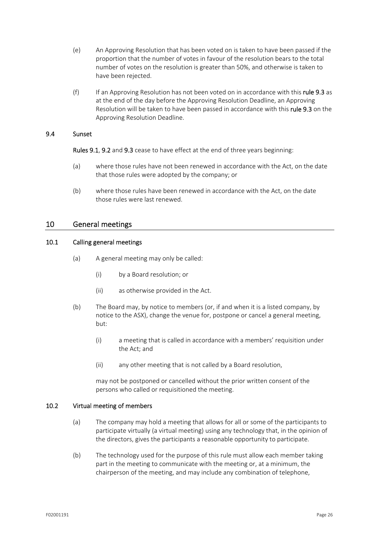- (e) An Approving Resolution that has been voted on is taken to have been passed if the proportion that the number of votes in favour of the resolution bears to the total number of votes on the resolution is greater than 50%, and otherwise is taken to have been rejected.
- (f) If an Approving Resolution has not been voted on in accordance with this rule 9.3 as at the end of the day before the Approving Resolution Deadline, an Approving Resolution will be taken to have been passed in accordance with this rule 9.3 on the Approving Resolution Deadline.

## 9.4 Sunset

Rules 9.1, 9.2 and 9.3 cease to have effect at the end of three years beginning:

- (a) where those rules have not been renewed in accordance with the Act, on the date that those rules were adopted by the company; or
- (b) where those rules have been renewed in accordance with the Act, on the date those rules were last renewed.

## 10 General meetings

## 10.1 Calling general meetings

- (a) A general meeting may only be called:
	- (i) by a Board resolution; or
	- (ii) as otherwise provided in the Act.
- (b) The Board may, by notice to members (or, if and when it is a listed company, by notice to the ASX), change the venue for, postpone or cancel a general meeting, but:
	- (i) a meeting that is called in accordance with a members' requisition under the Act; and
	- (ii) any other meeting that is not called by a Board resolution,

may not be postponed or cancelled without the prior written consent of the persons who called or requisitioned the meeting.

## 10.2 Virtual meeting of members

- (a) The company may hold a meeting that allows for all or some of the participants to participate virtually (a virtual meeting) using any technology that, in the opinion of the directors, gives the participants a reasonable opportunity to participate.
- (b) The technology used for the purpose of this rule must allow each member taking part in the meeting to communicate with the meeting or, at a minimum, the chairperson of the meeting, and may include any combination of telephone,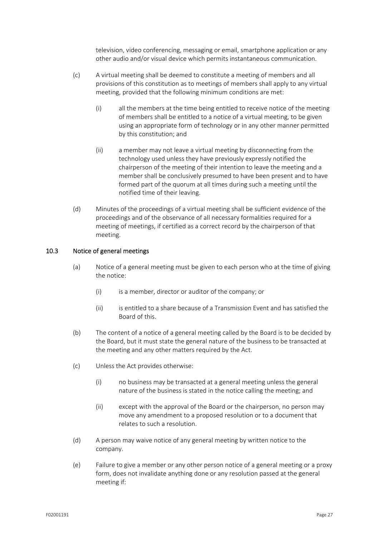television, video conferencing, messaging or email, smartphone application or any other audio and/or visual device which permits instantaneous communication.

- (c) A virtual meeting shall be deemed to constitute a meeting of members and all provisions of this constitution as to meetings of members shall apply to any virtual meeting, provided that the following minimum conditions are met:
	- (i) all the members at the time being entitled to receive notice of the meeting of members shall be entitled to a notice of a virtual meeting, to be given using an appropriate form of technology or in any other manner permitted by this constitution; and
	- (ii) a member may not leave a virtual meeting by disconnecting from the technology used unless they have previously expressly notified the chairperson of the meeting of their intention to leave the meeting and a member shall be conclusively presumed to have been present and to have formed part of the quorum at all times during such a meeting until the notified time of their leaving.
- (d) Minutes of the proceedings of a virtual meeting shall be sufficient evidence of the proceedings and of the observance of all necessary formalities required for a meeting of meetings, if certified as a correct record by the chairperson of that meeting.

## 10.3 Notice of general meetings

- (a) Notice of a general meeting must be given to each person who at the time of giving the notice:
	- (i) is a member, director or auditor of the company; or
	- (ii) is entitled to a share because of a Transmission Event and has satisfied the Board of this.
- (b) The content of a notice of a general meeting called by the Board is to be decided by the Board, but it must state the general nature of the business to be transacted at the meeting and any other matters required by the Act.
- (c) Unless the Act provides otherwise:
	- (i) no business may be transacted at a general meeting unless the general nature of the business is stated in the notice calling the meeting; and
	- (ii) except with the approval of the Board or the chairperson, no person may move any amendment to a proposed resolution or to a document that relates to such a resolution.
- (d) A person may waive notice of any general meeting by written notice to the company.
- (e) Failure to give a member or any other person notice of a general meeting or a proxy form, does not invalidate anything done or any resolution passed at the general meeting if: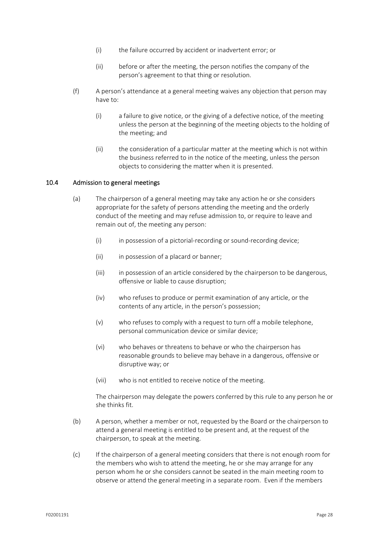- (i) the failure occurred by accident or inadvertent error; or
- (ii) before or after the meeting, the person notifies the company of the person's agreement to that thing or resolution.
- (f) A person's attendance at a general meeting waives any objection that person may have to:
	- (i) a failure to give notice, or the giving of a defective notice, of the meeting unless the person at the beginning of the meeting objects to the holding of the meeting; and
	- (ii) the consideration of a particular matter at the meeting which is not within the business referred to in the notice of the meeting, unless the person objects to considering the matter when it is presented.

## 10.4 Admission to general meetings

- (a) The chairperson of a general meeting may take any action he or she considers appropriate for the safety of persons attending the meeting and the orderly conduct of the meeting and may refuse admission to, or require to leave and remain out of, the meeting any person:
	- (i) in possession of a pictorial-recording or sound-recording device;
	- (ii) in possession of a placard or banner;
	- (iii) in possession of an article considered by the chairperson to be dangerous, offensive or liable to cause disruption;
	- (iv) who refuses to produce or permit examination of any article, or the contents of any article, in the person's possession;
	- (v) who refuses to comply with a request to turn off a mobile telephone, personal communication device or similar device;
	- (vi) who behaves or threatens to behave or who the chairperson has reasonable grounds to believe may behave in a dangerous, offensive or disruptive way; or
	- (vii) who is not entitled to receive notice of the meeting.

The chairperson may delegate the powers conferred by this rule to any person he or she thinks fit.

- (b) A person, whether a member or not, requested by the Board or the chairperson to attend a general meeting is entitled to be present and, at the request of the chairperson, to speak at the meeting.
- (c) If the chairperson of a general meeting considers that there is not enough room for the members who wish to attend the meeting, he or she may arrange for any person whom he or she considers cannot be seated in the main meeting room to observe or attend the general meeting in a separate room. Even if the members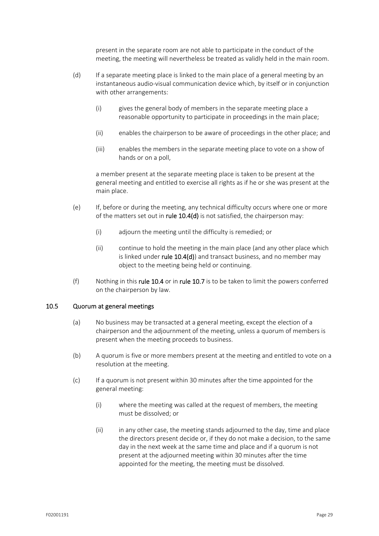present in the separate room are not able to participate in the conduct of the meeting, the meeting will nevertheless be treated as validly held in the main room.

- (d) If a separate meeting place is linked to the main place of a general meeting by an instantaneous audio‐visual communication device which, by itself or in conjunction with other arrangements:
	- (i) gives the general body of members in the separate meeting place a reasonable opportunity to participate in proceedings in the main place;
	- (ii) enables the chairperson to be aware of proceedings in the other place; and
	- (iii) enables the members in the separate meeting place to vote on a show of hands or on a poll,

a member present at the separate meeting place is taken to be present at the general meeting and entitled to exercise all rights as if he or she was present at the main place.

- (e) If, before or during the meeting, any technical difficulty occurs where one or more of the matters set out in rule  $10.4(d)$  is not satisfied, the chairperson may:
	- (i) adjourn the meeting until the difficulty is remedied; or
	- (ii) continue to hold the meeting in the main place (and any other place which is linked under rule  $10.4(d)$ ) and transact business, and no member may object to the meeting being held or continuing.
- (f) Nothing in this rule  $10.4$  or in rule  $10.7$  is to be taken to limit the powers conferred on the chairperson by law.

## 10.5 Quorum at general meetings

- (a) No business may be transacted at a general meeting, except the election of a chairperson and the adjournment of the meeting, unless a quorum of members is present when the meeting proceeds to business.
- (b) A quorum is five or more members present at the meeting and entitled to vote on a resolution at the meeting.
- (c) If a quorum is not present within 30 minutes after the time appointed for the general meeting:
	- (i) where the meeting was called at the request of members, the meeting must be dissolved; or
	- (ii) in any other case, the meeting stands adjourned to the day, time and place the directors present decide or, if they do not make a decision, to the same day in the next week at the same time and place and if a quorum is not present at the adjourned meeting within 30 minutes after the time appointed for the meeting, the meeting must be dissolved.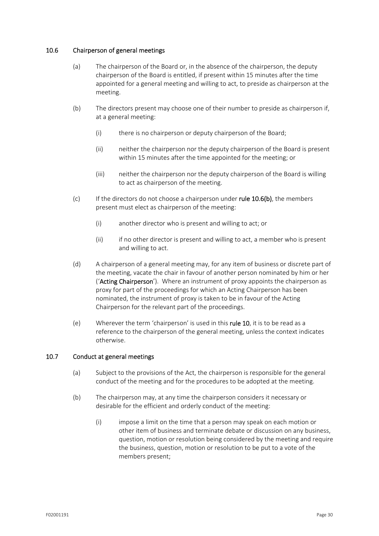## 10.6 Chairperson of general meetings

- (a) The chairperson of the Board or, in the absence of the chairperson, the deputy chairperson of the Board is entitled, if present within 15 minutes after the time appointed for a general meeting and willing to act, to preside as chairperson at the meeting.
- (b) The directors present may choose one of their number to preside as chairperson if, at a general meeting:
	- (i) there is no chairperson or deputy chairperson of the Board;
	- (ii) neither the chairperson nor the deputy chairperson of the Board is present within 15 minutes after the time appointed for the meeting; or
	- (iii) neither the chairperson nor the deputy chairperson of the Board is willing to act as chairperson of the meeting.
- (c) If the directors do not choose a chairperson under rule  $10.6(b)$ , the members present must elect as chairperson of the meeting:
	- (i) another director who is present and willing to act; or
	- (ii) if no other director is present and willing to act, a member who is present and willing to act.
- (d) A chairperson of a general meeting may, for any item of business or discrete part of the meeting, vacate the chair in favour of another person nominated by him or her ('Acting Chairperson'). Where an instrument of proxy appoints the chairperson as proxy for part of the proceedings for which an Acting Chairperson has been nominated, the instrument of proxy is taken to be in favour of the Acting Chairperson for the relevant part of the proceedings.
- (e) Wherever the term 'chairperson' is used in this rule 10, it is to be read as a reference to the chairperson of the general meeting, unless the context indicates otherwise.

## 10.7 Conduct at general meetings

- (a) Subject to the provisions of the Act, the chairperson is responsible for the general conduct of the meeting and for the procedures to be adopted at the meeting.
- (b) The chairperson may, at any time the chairperson considers it necessary or desirable for the efficient and orderly conduct of the meeting:
	- (i) impose a limit on the time that a person may speak on each motion or other item of business and terminate debate or discussion on any business, question, motion or resolution being considered by the meeting and require the business, question, motion or resolution to be put to a vote of the members present;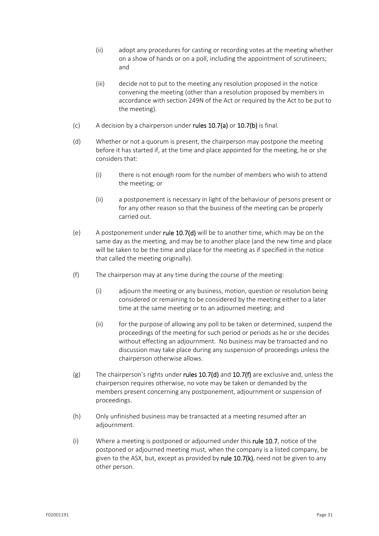- (ii) adopt any procedures for casting or recording votes at the meeting whether on a show of hands or on a poll, including the appointment of scrutineers; and
- (iii) decide not to put to the meeting any resolution proposed in the notice convening the meeting (other than a resolution proposed by members in accordance with section 249N of the Act or required by the Act to be put to the meeting).
- (c) A decision by a chairperson under rules  $10.7(a)$  or  $10.7(b)$  is final.
- (d) Whether or not a quorum is present, the chairperson may postpone the meeting before it has started if, at the time and place appointed for the meeting, he or she considers that:
	- (i) there is not enough room for the number of members who wish to attend the meeting; or
	- (ii) a postponement is necessary in light of the behaviour of persons present or for any other reason so that the business of the meeting can be properly carried out.
- (e) A postponement under rule  $10.7(d)$  will be to another time, which may be on the same day as the meeting, and may be to another place (and the new time and place will be taken to be the time and place for the meeting as if specified in the notice that called the meeting originally).
- (f) The chairperson may at any time during the course of the meeting:
	- (i) adjourn the meeting or any business, motion, question or resolution being considered or remaining to be considered by the meeting either to a later time at the same meeting or to an adjourned meeting; and
	- (ii) for the purpose of allowing any poll to be taken or determined, suspend the proceedings of the meeting for such period or periods as he or she decides without effecting an adjournment. No business may be transacted and no discussion may take place during any suspension of proceedings unless the chairperson otherwise allows.
- (g) The chairperson's rights under rules  $10.7(d)$  and  $10.7(f)$  are exclusive and, unless the chairperson requires otherwise, no vote may be taken or demanded by the members present concerning any postponement, adjournment or suspension of proceedings.
- (h) Only unfinished business may be transacted at a meeting resumed after an adjournment.
- (i) Where a meeting is postponed or adjourned under this rule 10.7, notice of the postponed or adjourned meeting must, when the company is a listed company, be given to the ASX, but, except as provided by rule  $10.7(k)$ , need not be given to any other person.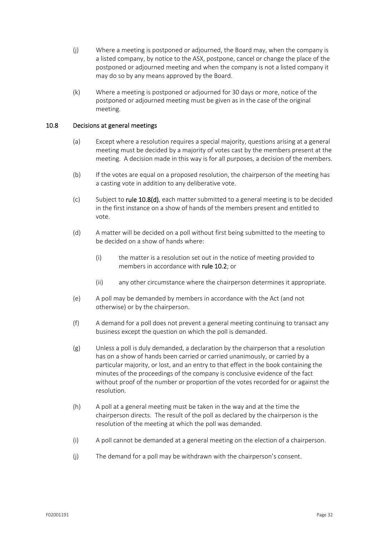- (j) Where a meeting is postponed or adjourned, the Board may, when the company is a listed company, by notice to the ASX, postpone, cancel or change the place of the postponed or adjourned meeting and when the company is not a listed company it may do so by any means approved by the Board.
- (k) Where a meeting is postponed or adjourned for 30 days or more, notice of the postponed or adjourned meeting must be given as in the case of the original meeting.

## 10.8 Decisions at general meetings

- (a) Except where a resolution requires a special majority, questions arising at a general meeting must be decided by a majority of votes cast by the members present at the meeting. A decision made in this way is for all purposes, a decision of the members.
- (b) If the votes are equal on a proposed resolution, the chairperson of the meeting has a casting vote in addition to any deliberative vote.
- $(c)$  Subject to rule 10.8(d), each matter submitted to a general meeting is to be decided in the first instance on a show of hands of the members present and entitled to vote.
- (d) A matter will be decided on a poll without first being submitted to the meeting to be decided on a show of hands where:
	- (i) the matter is a resolution set out in the notice of meeting provided to members in accordance with **rule 10.2**; or
	- (ii) any other circumstance where the chairperson determines it appropriate.
- (e) A poll may be demanded by members in accordance with the Act (and not otherwise) or by the chairperson.
- (f) A demand for a poll does not prevent a general meeting continuing to transact any business except the question on which the poll is demanded.
- (g) Unless a poll is duly demanded, a declaration by the chairperson that a resolution has on a show of hands been carried or carried unanimously, or carried by a particular majority, or lost, and an entry to that effect in the book containing the minutes of the proceedings of the company is conclusive evidence of the fact without proof of the number or proportion of the votes recorded for or against the resolution.
- (h) A poll at a general meeting must be taken in the way and at the time the chairperson directs. The result of the poll as declared by the chairperson is the resolution of the meeting at which the poll was demanded.
- (i) A poll cannot be demanded at a general meeting on the election of a chairperson.
- (j) The demand for a poll may be withdrawn with the chairperson's consent.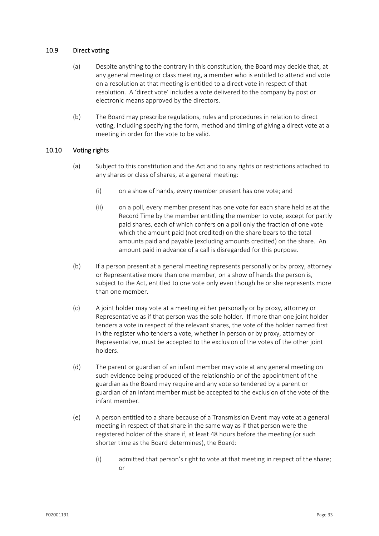## 10.9 Direct voting

- (a) Despite anything to the contrary in this constitution, the Board may decide that, at any general meeting or class meeting, a member who is entitled to attend and vote on a resolution at that meeting is entitled to a direct vote in respect of that resolution. A 'direct vote' includes a vote delivered to the company by post or electronic means approved by the directors.
- (b) The Board may prescribe regulations, rules and procedures in relation to direct voting, including specifying the form, method and timing of giving a direct vote at a meeting in order for the vote to be valid.

## 10.10 Voting rights

- (a) Subject to this constitution and the Act and to any rights or restrictions attached to any shares or class of shares, at a general meeting:
	- (i) on a show of hands, every member present has one vote; and
	- (ii) on a poll, every member present has one vote for each share held as at the Record Time by the member entitling the member to vote, except for partly paid shares, each of which confers on a poll only the fraction of one vote which the amount paid (not credited) on the share bears to the total amounts paid and payable (excluding amounts credited) on the share. An amount paid in advance of a call is disregarded for this purpose.
- (b) If a person present at a general meeting represents personally or by proxy, attorney or Representative more than one member, on a show of hands the person is, subject to the Act, entitled to one vote only even though he or she represents more than one member.
- (c) A joint holder may vote at a meeting either personally or by proxy, attorney or Representative as if that person was the sole holder. If more than one joint holder tenders a vote in respect of the relevant shares, the vote of the holder named first in the register who tenders a vote, whether in person or by proxy, attorney or Representative, must be accepted to the exclusion of the votes of the other joint holders.
- (d) The parent or guardian of an infant member may vote at any general meeting on such evidence being produced of the relationship or of the appointment of the guardian as the Board may require and any vote so tendered by a parent or guardian of an infant member must be accepted to the exclusion of the vote of the infant member.
- (e) A person entitled to a share because of a Transmission Event may vote at a general meeting in respect of that share in the same way as if that person were the registered holder of the share if, at least 48 hours before the meeting (or such shorter time as the Board determines), the Board:
	- (i) admitted that person's right to vote at that meeting in respect of the share; or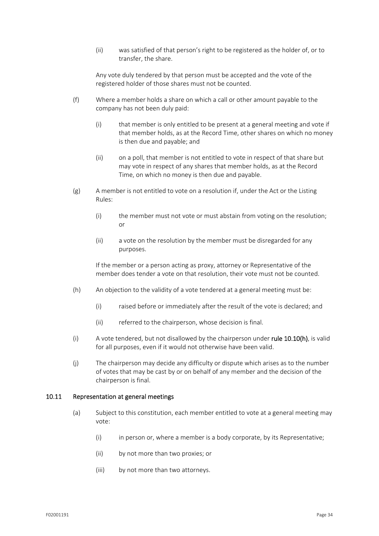(ii) was satisfied of that person's right to be registered as the holder of, or to transfer, the share.

Any vote duly tendered by that person must be accepted and the vote of the registered holder of those shares must not be counted.

- (f) Where a member holds a share on which a call or other amount payable to the company has not been duly paid:
	- (i) that member is only entitled to be present at a general meeting and vote if that member holds, as at the Record Time, other shares on which no money is then due and payable; and
	- (ii) on a poll, that member is not entitled to vote in respect of that share but may vote in respect of any shares that member holds, as at the Record Time, on which no money is then due and payable.
- (g) A member is not entitled to vote on a resolution if, under the Act or the Listing Rules:
	- (i) the member must not vote or must abstain from voting on the resolution; or
	- (ii) a vote on the resolution by the member must be disregarded for any purposes.

If the member or a person acting as proxy, attorney or Representative of the member does tender a vote on that resolution, their vote must not be counted.

- (h) An objection to the validity of a vote tendered at a general meeting must be:
	- (i) raised before or immediately after the result of the vote is declared; and
	- (ii) referred to the chairperson, whose decision is final.
- (i) A vote tendered, but not disallowed by the chairperson under rule  $10.10(h)$ , is valid for all purposes, even if it would not otherwise have been valid.
- (j) The chairperson may decide any difficulty or dispute which arises as to the number of votes that may be cast by or on behalf of any member and the decision of the chairperson is final.

## 10.11 Representation at general meetings

- (a) Subject to this constitution, each member entitled to vote at a general meeting may vote:
	- (i) in person or, where a member is a body corporate, by its Representative;
	- (ii) by not more than two proxies; or
	- (iii) by not more than two attorneys.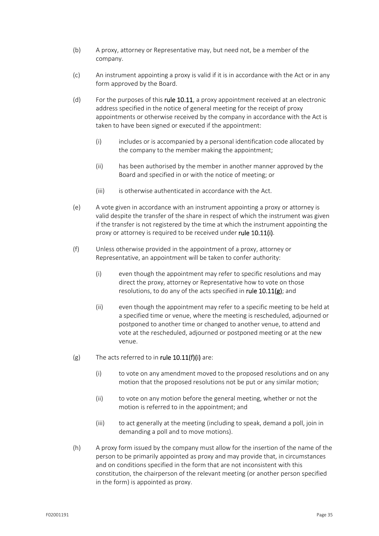- (b) A proxy, attorney or Representative may, but need not, be a member of the company.
- (c) An instrument appointing a proxy is valid if it is in accordance with the Act or in any form approved by the Board.
- (d) For the purposes of this rule 10.11, a proxy appointment received at an electronic address specified in the notice of general meeting for the receipt of proxy appointments or otherwise received by the company in accordance with the Act is taken to have been signed or executed if the appointment:
	- (i) includes or is accompanied by a personal identification code allocated by the company to the member making the appointment;
	- (ii) has been authorised by the member in another manner approved by the Board and specified in or with the notice of meeting; or
	- (iii) is otherwise authenticated in accordance with the Act.
- (e) A vote given in accordance with an instrument appointing a proxy or attorney is valid despite the transfer of the share in respect of which the instrument was given if the transfer is not registered by the time at which the instrument appointing the proxy or attorney is required to be received under rule 10.11(i).
- (f) Unless otherwise provided in the appointment of a proxy, attorney or Representative, an appointment will be taken to confer authority:
	- (i) even though the appointment may refer to specific resolutions and may direct the proxy, attorney or Representative how to vote on those resolutions, to do any of the acts specified in rule  $10.11(g)$ ; and
	- (ii) even though the appointment may refer to a specific meeting to be held at a specified time or venue, where the meeting is rescheduled, adjourned or postponed to another time or changed to another venue, to attend and vote at the rescheduled, adjourned or postponed meeting or at the new venue.
- $(g)$  The acts referred to in rule 10.11(f)(i) are:
	- (i) to vote on any amendment moved to the proposed resolutions and on any motion that the proposed resolutions not be put or any similar motion;
	- (ii) to vote on any motion before the general meeting, whether or not the motion is referred to in the appointment; and
	- (iii) to act generally at the meeting (including to speak, demand a poll, join in demanding a poll and to move motions).
- (h) A proxy form issued by the company must allow for the insertion of the name of the person to be primarily appointed as proxy and may provide that, in circumstances and on conditions specified in the form that are not inconsistent with this constitution, the chairperson of the relevant meeting (or another person specified in the form) is appointed as proxy.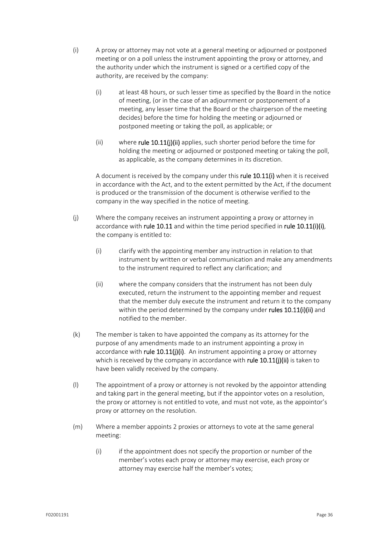- (i) A proxy or attorney may not vote at a general meeting or adjourned or postponed meeting or on a poll unless the instrument appointing the proxy or attorney, and the authority under which the instrument is signed or a certified copy of the authority, are received by the company:
	- (i) at least 48 hours, or such lesser time as specified by the Board in the notice of meeting, (or in the case of an adjournment or postponement of a meeting, any lesser time that the Board or the chairperson of the meeting decides) before the time for holding the meeting or adjourned or postponed meeting or taking the poll, as applicable; or
	- (ii) where rule 10.11(j)(ii) applies, such shorter period before the time for holding the meeting or adjourned or postponed meeting or taking the poll, as applicable, as the company determines in its discretion.

A document is received by the company under this rule 10.11(i) when it is received in accordance with the Act, and to the extent permitted by the Act, if the document is produced or the transmission of the document is otherwise verified to the company in the way specified in the notice of meeting.

- (j) Where the company receives an instrument appointing a proxy or attorney in accordance with rule 10.11 and within the time period specified in rule 10.11(i)(i), the company is entitled to:
	- (i) clarify with the appointing member any instruction in relation to that instrument by written or verbal communication and make any amendments to the instrument required to reflect any clarification; and
	- (ii) where the company considers that the instrument has not been duly executed, return the instrument to the appointing member and request that the member duly execute the instrument and return it to the company within the period determined by the company under rules 10.11(i)(ii) and notified to the member.
- (k) The member is taken to have appointed the company as its attorney for the purpose of any amendments made to an instrument appointing a proxy in accordance with rule  $10.11(j)(i)$ . An instrument appointing a proxy or attorney which is received by the company in accordance with rule  $10.11$ (j)(ii) is taken to have been validly received by the company.
- (l) The appointment of a proxy or attorney is not revoked by the appointor attending and taking part in the general meeting, but if the appointor votes on a resolution, the proxy or attorney is not entitled to vote, and must not vote, as the appointor's proxy or attorney on the resolution.
- (m) Where a member appoints 2 proxies or attorneys to vote at the same general meeting:
	- (i) if the appointment does not specify the proportion or number of the member's votes each proxy or attorney may exercise, each proxy or attorney may exercise half the member's votes;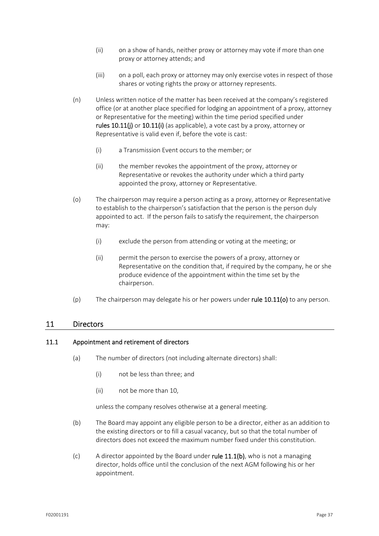- (ii) on a show of hands, neither proxy or attorney may vote if more than one proxy or attorney attends; and
- (iii) on a poll, each proxy or attorney may only exercise votes in respect of those shares or voting rights the proxy or attorney represents.
- (n) Unless written notice of the matter has been received at the company's registered office (or at another place specified for lodging an appointment of a proxy, attorney or Representative for the meeting) within the time period specified under rules 10.11(i) or 10.11(i) (as applicable), a vote cast by a proxy, attorney or Representative is valid even if, before the vote is cast:
	- (i) a Transmission Event occurs to the member; or
	- (ii) the member revokes the appointment of the proxy, attorney or Representative or revokes the authority under which a third party appointed the proxy, attorney or Representative.
- (o) The chairperson may require a person acting as a proxy, attorney or Representative to establish to the chairperson's satisfaction that the person is the person duly appointed to act. If the person fails to satisfy the requirement, the chairperson may:
	- (i) exclude the person from attending or voting at the meeting; or
	- (ii) permit the person to exercise the powers of a proxy, attorney or Representative on the condition that, if required by the company, he or she produce evidence of the appointment within the time set by the chairperson.
- (p) The chairperson may delegate his or her powers under rule  $10.11$ (o) to any person.

## 11 Directors

## 11.1 Appointment and retirement of directors

- (a) The number of directors (not including alternate directors) shall:
	- (i) not be less than three; and
	- (ii) not be more than 10,

unless the company resolves otherwise at a general meeting.

- (b) The Board may appoint any eligible person to be a director, either as an addition to the existing directors or to fill a casual vacancy, but so that the total number of directors does not exceed the maximum number fixed under this constitution.
- (c) A director appointed by the Board under rule  $11.1(b)$ , who is not a managing director, holds office until the conclusion of the next AGM following his or her appointment.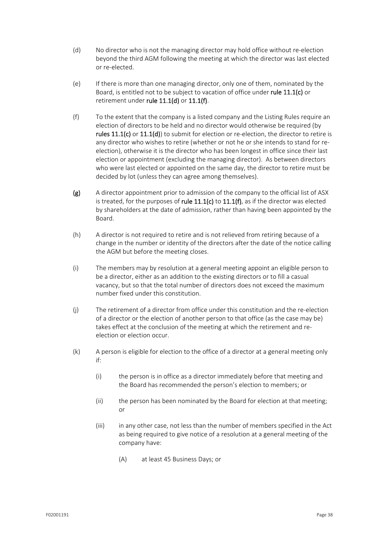- (d) No director who is not the managing director may hold office without re-election beyond the third AGM following the meeting at which the director was last elected or re‐elected.
- (e) If there is more than one managing director, only one of them, nominated by the Board, is entitled not to be subject to vacation of office under rule 11.1(c) or retirement under rule 11.1(d) or 11.1(f).
- (f) To the extent that the company is a listed company and the Listing Rules require an election of directors to be held and no director would otherwise be required (by rules  $11.1(c)$  or  $11.1(d)$ ) to submit for election or re-election, the director to retire is any director who wishes to retire (whether or not he or she intends to stand for re‐ election), otherwise it is the director who has been longest in office since their last election or appointment (excluding the managing director). As between directors who were last elected or appointed on the same day, the director to retire must be decided by lot (unless they can agree among themselves).
- (g) A director appointment prior to admission of the company to the official list of ASX is treated, for the purposes of rule  $11.1(c)$  to  $11.1(f)$ , as if the director was elected by shareholders at the date of admission, rather than having been appointed by the Board.
- (h) A director is not required to retire and is not relieved from retiring because of a change in the number or identity of the directors after the date of the notice calling the AGM but before the meeting closes.
- (i) The members may by resolution at a general meeting appoint an eligible person to be a director, either as an addition to the existing directors or to fill a casual vacancy, but so that the total number of directors does not exceed the maximum number fixed under this constitution.
- (j) The retirement of a director from office under this constitution and the re‐election of a director or the election of another person to that office (as the case may be) takes effect at the conclusion of the meeting at which the retirement and re‐ election or election occur.
- (k) A person is eligible for election to the office of a director at a general meeting only if:
	- (i) the person is in office as a director immediately before that meeting and the Board has recommended the person's election to members; or
	- (ii) the person has been nominated by the Board for election at that meeting; or
	- (iii) in any other case, not less than the number of members specified in the Act as being required to give notice of a resolution at a general meeting of the company have:
		- (A) at least 45 Business Days; or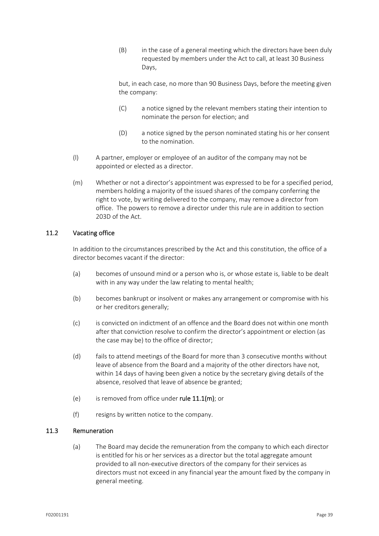(B) in the case of a general meeting which the directors have been duly requested by members under the Act to call, at least 30 Business Days,

but, in each case, no more than 90 Business Days, before the meeting given the company:

- (C) a notice signed by the relevant members stating their intention to nominate the person for election; and
- (D) a notice signed by the person nominated stating his or her consent to the nomination.
- (l) A partner, employer or employee of an auditor of the company may not be appointed or elected as a director.
- (m) Whether or not a director's appointment was expressed to be for a specified period, members holding a majority of the issued shares of the company conferring the right to vote, by writing delivered to the company, may remove a director from office. The powers to remove a director under this rule are in addition to section 203D of the Act.

## 11.2 Vacating office

In addition to the circumstances prescribed by the Act and this constitution, the office of a director becomes vacant if the director:

- (a) becomes of unsound mind or a person who is, or whose estate is, liable to be dealt with in any way under the law relating to mental health;
- (b) becomes bankrupt or insolvent or makes any arrangement or compromise with his or her creditors generally;
- (c) is convicted on indictment of an offence and the Board does not within one month after that conviction resolve to confirm the director's appointment or election (as the case may be) to the office of director;
- (d) fails to attend meetings of the Board for more than 3 consecutive months without leave of absence from the Board and a majority of the other directors have not, within 14 days of having been given a notice by the secretary giving details of the absence, resolved that leave of absence be granted;
- (e) is removed from office under rule  $11.1(m)$ ; or
- (f) resigns by written notice to the company.

## 11.3 Remuneration

(a) The Board may decide the remuneration from the company to which each director is entitled for his or her services as a director but the total aggregate amount provided to all non‐executive directors of the company for their services as directors must not exceed in any financial year the amount fixed by the company in general meeting.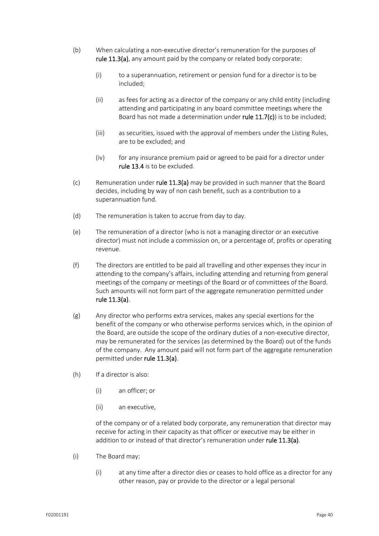- (b) When calculating a non‐executive director's remuneration for the purposes of rule 11.3(a), any amount paid by the company or related body corporate:
	- (i) to a superannuation, retirement or pension fund for a director is to be included;
	- (ii) as fees for acting as a director of the company or any child entity (including attending and participating in any board committee meetings where the Board has not made a determination under rule 11.7(c)) is to be included;
	- (iii) as securities, issued with the approval of members under the Listing Rules, are to be excluded; and
	- (iv) for any insurance premium paid or agreed to be paid for a director under rule 13.4 is to be excluded.
- (c) Remuneration under rule  $11.3(a)$  may be provided in such manner that the Board decides, including by way of non cash benefit, such as a contribution to a superannuation fund.
- (d) The remuneration is taken to accrue from day to day.
- (e) The remuneration of a director (who is not a managing director or an executive director) must not include a commission on, or a percentage of, profits or operating revenue.
- (f) The directors are entitled to be paid all travelling and other expenses they incur in attending to the company's affairs, including attending and returning from general meetings of the company or meetings of the Board or of committees of the Board. Such amounts will not form part of the aggregate remuneration permitted under rule 11.3(a).
- (g) Any director who performs extra services, makes any special exertions for the benefit of the company or who otherwise performs services which, in the opinion of the Board, are outside the scope of the ordinary duties of a non‐executive director, may be remunerated for the services (as determined by the Board) out of the funds of the company. Any amount paid will not form part of the aggregate remuneration permitted under rule 11.3(a).
- (h) If a director is also:
	- (i) an officer; or
	- (ii) an executive,

of the company or of a related body corporate, any remuneration that director may receive for acting in their capacity as that officer or executive may be either in addition to or instead of that director's remuneration under rule 11.3(a).

- (i) The Board may:
	- (i) at any time after a director dies or ceases to hold office as a director for any other reason, pay or provide to the director or a legal personal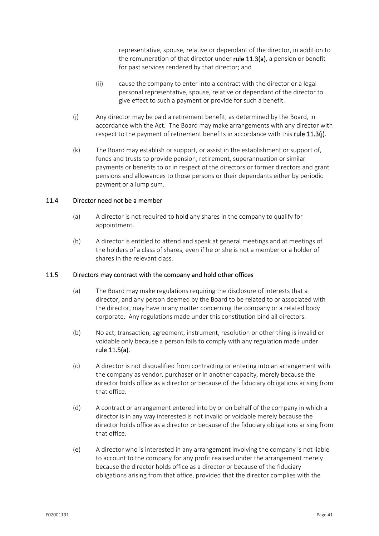representative, spouse, relative or dependant of the director, in addition to the remuneration of that director under rule  $11.3(a)$ , a pension or benefit for past services rendered by that director; and

- (ii) cause the company to enter into a contract with the director or a legal personal representative, spouse, relative or dependant of the director to give effect to such a payment or provide for such a benefit.
- (j) Any director may be paid a retirement benefit, as determined by the Board, in accordance with the Act. The Board may make arrangements with any director with respect to the payment of retirement benefits in accordance with this rule 11.3(j).
- (k) The Board may establish or support, or assist in the establishment or support of, funds and trusts to provide pension, retirement, superannuation or similar payments or benefits to or in respect of the directors or former directors and grant pensions and allowances to those persons or their dependants either by periodic payment or a lump sum.

## 11.4 Director need not be a member

- (a) A director is not required to hold any shares in the company to qualify for appointment.
- (b) A director is entitled to attend and speak at general meetings and at meetings of the holders of a class of shares, even if he or she is not a member or a holder of shares in the relevant class.

## 11.5 Directors may contract with the company and hold other offices

- (a) The Board may make regulations requiring the disclosure of interests that a director, and any person deemed by the Board to be related to or associated with the director, may have in any matter concerning the company or a related body corporate. Any regulations made under this constitution bind all directors.
- (b) No act, transaction, agreement, instrument, resolution or other thing is invalid or voidable only because a person fails to comply with any regulation made under rule 11.5(a).
- (c) A director is not disqualified from contracting or entering into an arrangement with the company as vendor, purchaser or in another capacity, merely because the director holds office as a director or because of the fiduciary obligations arising from that office.
- (d) A contract or arrangement entered into by or on behalf of the company in which a director is in any way interested is not invalid or voidable merely because the director holds office as a director or because of the fiduciary obligations arising from that office.
- (e) A director who is interested in any arrangement involving the company is not liable to account to the company for any profit realised under the arrangement merely because the director holds office as a director or because of the fiduciary obligations arising from that office, provided that the director complies with the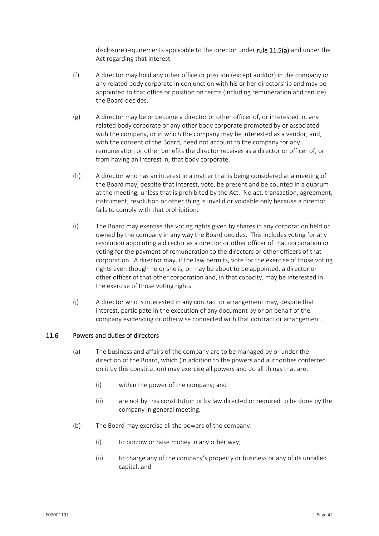disclosure requirements applicable to the director under rule 11.5(a) and under the Act regarding that interest.

- (f) A director may hold any other office or position (except auditor) in the company or any related body corporate in conjunction with his or her directorship and may be appointed to that office or position on terms (including remuneration and tenure) the Board decides.
- $(g)$  A director may be or become a director or other officer of, or interested in, any related body corporate or any other body corporate promoted by or associated with the company, or in which the company may be interested as a vendor, and, with the consent of the Board, need not account to the company for any remuneration or other benefits the director receives as a director or officer of, or from having an interest in, that body corporate.
- (h) A director who has an interest in a matter that is being considered at a meeting of the Board may, despite that interest, vote, be present and be counted in a quorum at the meeting, unless that is prohibited by the Act. No act, transaction, agreement, instrument, resolution or other thing is invalid or voidable only because a director fails to comply with that prohibition.
- (i) The Board may exercise the voting rights given by shares in any corporation held or owned by the company in any way the Board decides. This includes voting for any resolution appointing a director as a director or other officer of that corporation or voting for the payment of remuneration to the directors or other officers of that corporation. A director may, if the law permits, vote for the exercise of those voting rights even though he or she is, or may be about to be appointed, a director or other officer of that other corporation and, in that capacity, may be interested in the exercise of those voting rights.
- (j) A director who is interested in any contract or arrangement may, despite that interest, participate in the execution of any document by or on behalf of the company evidencing or otherwise connected with that contract or arrangement.

## 11.6 Powers and duties of directors

- (a) The business and affairs of the company are to be managed by or under the direction of the Board, which (in addition to the powers and authorities conferred on it by this constitution) may exercise all powers and do all things that are:
	- (i) within the power of the company; and
	- (ii) are not by this constitution or by law directed or required to be done by the company in general meeting.
- (b) The Board may exercise all the powers of the company:
	- (i) to borrow or raise money in any other way;
	- (ii) to charge any of the company's property or business or any of its uncalled capital; and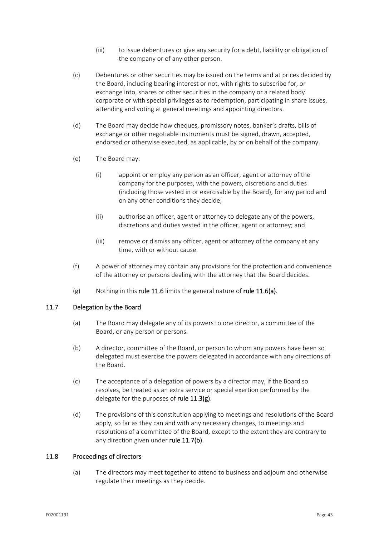- (iii) to issue debentures or give any security for a debt, liability or obligation of the company or of any other person.
- (c) Debentures or other securities may be issued on the terms and at prices decided by the Board, including bearing interest or not, with rights to subscribe for, or exchange into, shares or other securities in the company or a related body corporate or with special privileges as to redemption, participating in share issues, attending and voting at general meetings and appointing directors.
- (d) The Board may decide how cheques, promissory notes, banker's drafts, bills of exchange or other negotiable instruments must be signed, drawn, accepted, endorsed or otherwise executed, as applicable, by or on behalf of the company.
- (e) The Board may:
	- (i) appoint or employ any person as an officer, agent or attorney of the company for the purposes, with the powers, discretions and duties (including those vested in or exercisable by the Board), for any period and on any other conditions they decide;
	- (ii) authorise an officer, agent or attorney to delegate any of the powers, discretions and duties vested in the officer, agent or attorney; and
	- (iii) remove or dismiss any officer, agent or attorney of the company at any time, with or without cause.
- (f) A power of attorney may contain any provisions for the protection and convenience of the attorney or persons dealing with the attorney that the Board decides.
- (g) Nothing in this rule 11.6 limits the general nature of rule 11.6(a).

## 11.7 Delegation by the Board

- (a) The Board may delegate any of its powers to one director, a committee of the Board, or any person or persons.
- (b) A director, committee of the Board, or person to whom any powers have been so delegated must exercise the powers delegated in accordance with any directions of the Board.
- (c) The acceptance of a delegation of powers by a director may, if the Board so resolves, be treated as an extra service or special exertion performed by the delegate for the purposes of rule 11.3(g).
- (d) The provisions of this constitution applying to meetings and resolutions of the Board apply, so far as they can and with any necessary changes, to meetings and resolutions of a committee of the Board, except to the extent they are contrary to any direction given under rule 11.7(b).

## 11.8 Proceedings of directors

(a) The directors may meet together to attend to business and adjourn and otherwise regulate their meetings as they decide.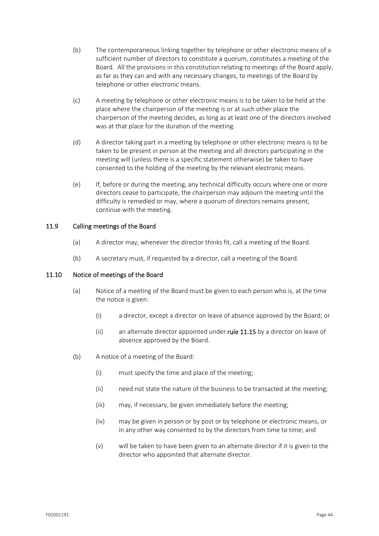- (b) The contemporaneous linking together by telephone or other electronic means of a sufficient number of directors to constitute a quorum, constitutes a meeting of the Board. All the provisions in this constitution relating to meetings of the Board apply, as far as they can and with any necessary changes, to meetings of the Board by telephone or other electronic means.
- (c) A meeting by telephone or other electronic means is to be taken to be held at the place where the chairperson of the meeting is or at such other place the chairperson of the meeting decides, as long as at least one of the directors involved was at that place for the duration of the meeting.
- (d) A director taking part in a meeting by telephone or other electronic means is to be taken to be present in person at the meeting and all directors participating in the meeting will (unless there is a specific statement otherwise) be taken to have consented to the holding of the meeting by the relevant electronic means.
- (e) If, before or during the meeting, any technical difficulty occurs where one or more directors cease to participate, the chairperson may adjourn the meeting until the difficulty is remedied or may, where a quorum of directors remains present, continue with the meeting.

## 11.9 Calling meetings of the Board

- (a) A director may, whenever the director thinks fit, call a meeting of the Board.
- (b) A secretary must, if requested by a director, call a meeting of the Board.

## 11.10 Notice of meetings of the Board

- (a) Notice of a meeting of the Board must be given to each person who is, at the time the notice is given:
	- (i) a director, except a director on leave of absence approved by the Board; or
	- (ii) an alternate director appointed under rule 11.15 by a director on leave of absence approved by the Board.
- (b) A notice of a meeting of the Board:
	- (i) must specify the time and place of the meeting;
	- (ii) need not state the nature of the business to be transacted at the meeting;
	- (iii) may, if necessary, be given immediately before the meeting;
	- (iv) may be given in person or by post or by telephone or electronic means, or in any other way consented to by the directors from time to time; and
	- (v) will be taken to have been given to an alternate director if it is given to the director who appointed that alternate director.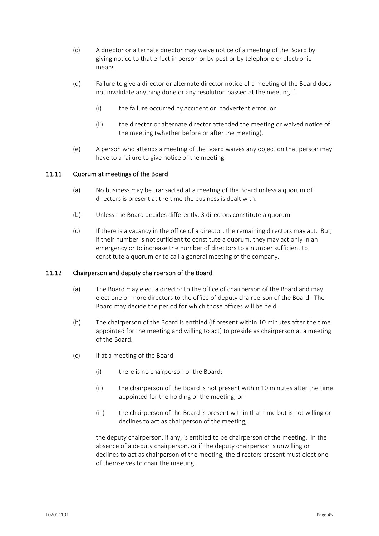- (c) A director or alternate director may waive notice of a meeting of the Board by giving notice to that effect in person or by post or by telephone or electronic means.
- (d) Failure to give a director or alternate director notice of a meeting of the Board does not invalidate anything done or any resolution passed at the meeting if:
	- (i) the failure occurred by accident or inadvertent error; or
	- (ii) the director or alternate director attended the meeting or waived notice of the meeting (whether before or after the meeting).
- (e) A person who attends a meeting of the Board waives any objection that person may have to a failure to give notice of the meeting.

## 11.11 Quorum at meetings of the Board

- (a) No business may be transacted at a meeting of the Board unless a quorum of directors is present at the time the business is dealt with.
- (b) Unless the Board decides differently, 3 directors constitute a quorum.
- (c) If there is a vacancy in the office of a director, the remaining directors may act. But, if their number is not sufficient to constitute a quorum, they may act only in an emergency or to increase the number of directors to a number sufficient to constitute a quorum or to call a general meeting of the company.

## 11.12 Chairperson and deputy chairperson of the Board

- (a) The Board may elect a director to the office of chairperson of the Board and may elect one or more directors to the office of deputy chairperson of the Board. The Board may decide the period for which those offices will be held.
- (b) The chairperson of the Board is entitled (if present within 10 minutes after the time appointed for the meeting and willing to act) to preside as chairperson at a meeting of the Board.
- (c) If at a meeting of the Board:
	- (i) there is no chairperson of the Board;
	- (ii) the chairperson of the Board is not present within 10 minutes after the time appointed for the holding of the meeting; or
	- (iii) the chairperson of the Board is present within that time but is not willing or declines to act as chairperson of the meeting,

the deputy chairperson, if any, is entitled to be chairperson of the meeting. In the absence of a deputy chairperson, or if the deputy chairperson is unwilling or declines to act as chairperson of the meeting, the directors present must elect one of themselves to chair the meeting.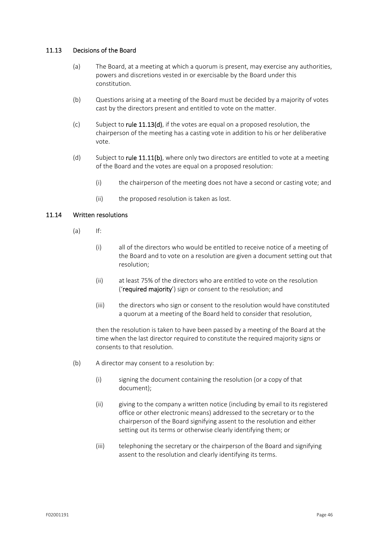## 11.13 Decisions of the Board

- (a) The Board, at a meeting at which a quorum is present, may exercise any authorities, powers and discretions vested in or exercisable by the Board under this constitution.
- (b) Questions arising at a meeting of the Board must be decided by a majority of votes cast by the directors present and entitled to vote on the matter.
- (c) Subject to rule  $11.13(d)$ , if the votes are equal on a proposed resolution, the chairperson of the meeting has a casting vote in addition to his or her deliberative vote.
- (d) Subject to rule  $11.11(b)$ , where only two directors are entitled to vote at a meeting of the Board and the votes are equal on a proposed resolution:
	- (i) the chairperson of the meeting does not have a second or casting vote; and
	- (ii) the proposed resolution is taken as lost.

## 11.14 Written resolutions

- $(a)$  If:
	- (i) all of the directors who would be entitled to receive notice of a meeting of the Board and to vote on a resolution are given a document setting out that resolution;
	- (ii) at least 75% of the directors who are entitled to vote on the resolution ('required majority') sign or consent to the resolution; and
	- (iii) the directors who sign or consent to the resolution would have constituted a quorum at a meeting of the Board held to consider that resolution,

then the resolution is taken to have been passed by a meeting of the Board at the time when the last director required to constitute the required majority signs or consents to that resolution.

- (b) A director may consent to a resolution by:
	- (i) signing the document containing the resolution (or a copy of that document);
	- (ii) giving to the company a written notice (including by email to its registered office or other electronic means) addressed to the secretary or to the chairperson of the Board signifying assent to the resolution and either setting out its terms or otherwise clearly identifying them; or
	- (iii) telephoning the secretary or the chairperson of the Board and signifying assent to the resolution and clearly identifying its terms.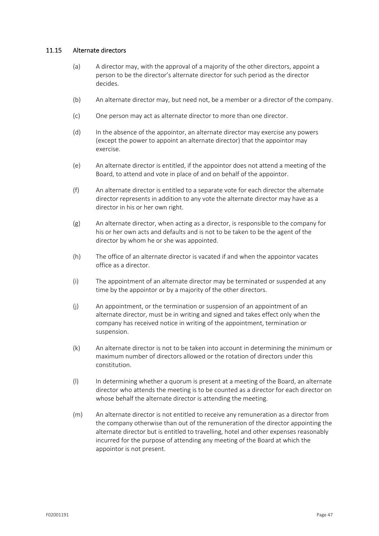## 11.15 Alternate directors

- (a) A director may, with the approval of a majority of the other directors, appoint a person to be the director's alternate director for such period as the director decides.
- (b) An alternate director may, but need not, be a member or a director of the company.
- (c) One person may act as alternate director to more than one director.
- (d) In the absence of the appointor, an alternate director may exercise any powers (except the power to appoint an alternate director) that the appointor may exercise.
- (e) An alternate director is entitled, if the appointor does not attend a meeting of the Board, to attend and vote in place of and on behalf of the appointor.
- (f) An alternate director is entitled to a separate vote for each director the alternate director represents in addition to any vote the alternate director may have as a director in his or her own right.
- (g) An alternate director, when acting as a director, is responsible to the company for his or her own acts and defaults and is not to be taken to be the agent of the director by whom he or she was appointed.
- (h) The office of an alternate director is vacated if and when the appointor vacates office as a director.
- (i) The appointment of an alternate director may be terminated or suspended at any time by the appointor or by a majority of the other directors.
- (j) An appointment, or the termination or suspension of an appointment of an alternate director, must be in writing and signed and takes effect only when the company has received notice in writing of the appointment, termination or suspension.
- (k) An alternate director is not to be taken into account in determining the minimum or maximum number of directors allowed or the rotation of directors under this constitution.
- (l) In determining whether a quorum is present at a meeting of the Board, an alternate director who attends the meeting is to be counted as a director for each director on whose behalf the alternate director is attending the meeting.
- (m) An alternate director is not entitled to receive any remuneration as a director from the company otherwise than out of the remuneration of the director appointing the alternate director but is entitled to travelling, hotel and other expenses reasonably incurred for the purpose of attending any meeting of the Board at which the appointor is not present.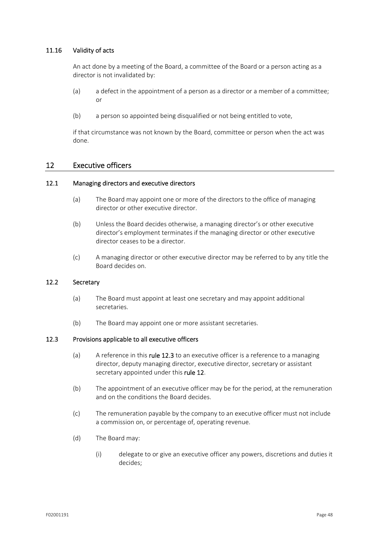## 11.16 Validity of acts

An act done by a meeting of the Board, a committee of the Board or a person acting as a director is not invalidated by:

- (a) a defect in the appointment of a person as a director or a member of a committee; or
- (b) a person so appointed being disqualified or not being entitled to vote,

if that circumstance was not known by the Board, committee or person when the act was done.

## 12 Executive officers

#### 12.1 Managing directors and executive directors

- (a) The Board may appoint one or more of the directors to the office of managing director or other executive director.
- (b) Unless the Board decides otherwise, a managing director's or other executive director's employment terminates if the managing director or other executive director ceases to be a director.
- (c) A managing director or other executive director may be referred to by any title the Board decides on.

## 12.2 Secretary

- (a) The Board must appoint at least one secretary and may appoint additional secretaries.
- (b) The Board may appoint one or more assistant secretaries.

## 12.3 Provisions applicable to all executive officers

- (a) A reference in this **rule 12.3** to an executive officer is a reference to a managing director, deputy managing director, executive director, secretary or assistant secretary appointed under this rule 12.
- (b) The appointment of an executive officer may be for the period, at the remuneration and on the conditions the Board decides.
- (c) The remuneration payable by the company to an executive officer must not include a commission on, or percentage of, operating revenue.
- (d) The Board may:
	- (i) delegate to or give an executive officer any powers, discretions and duties it decides;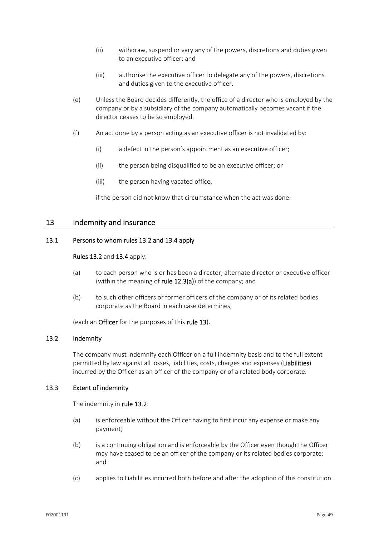- (ii) withdraw, suspend or vary any of the powers, discretions and duties given to an executive officer; and
- (iii) authorise the executive officer to delegate any of the powers, discretions and duties given to the executive officer.
- (e) Unless the Board decides differently, the office of a director who is employed by the company or by a subsidiary of the company automatically becomes vacant if the director ceases to be so employed.
- (f) An act done by a person acting as an executive officer is not invalidated by:
	- (i) a defect in the person's appointment as an executive officer;
	- (ii) the person being disqualified to be an executive officer; or
	- (iii) the person having vacated office,

if the person did not know that circumstance when the act was done.

## 13 Indemnity and insurance

## 13.1 Persons to whom rules 13.2 and 13.4 apply

Rules 13.2 and 13.4 apply:

- (a) to each person who is or has been a director, alternate director or executive officer (within the meaning of rule  $12.3(a)$ ) of the company; and
- (b) to such other officers or former officers of the company or of its related bodies corporate as the Board in each case determines,

(each an Officer for the purposes of this rule 13).

## 13.2 Indemnity

The company must indemnify each Officer on a full indemnity basis and to the full extent permitted by law against all losses, liabilities, costs, charges and expenses (Liabilities) incurred by the Officer as an officer of the company or of a related body corporate.

## 13.3 Extent of indemnity

The indemnity in rule 13.2:

- (a) is enforceable without the Officer having to first incur any expense or make any payment;
- (b) is a continuing obligation and is enforceable by the Officer even though the Officer may have ceased to be an officer of the company or its related bodies corporate; and
- (c) applies to Liabilities incurred both before and after the adoption of this constitution.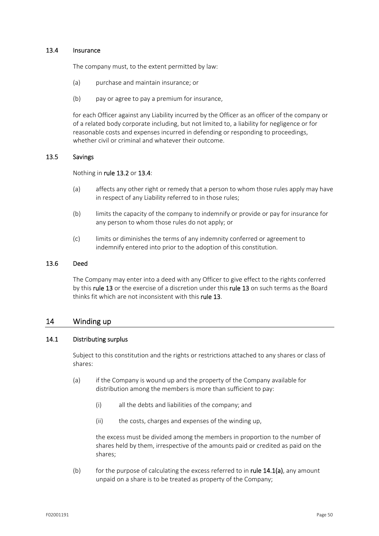## 13.4 Insurance

The company must, to the extent permitted by law:

- (a) purchase and maintain insurance; or
- (b) pay or agree to pay a premium for insurance,

for each Officer against any Liability incurred by the Officer as an officer of the company or of a related body corporate including, but not limited to, a liability for negligence or for reasonable costs and expenses incurred in defending or responding to proceedings, whether civil or criminal and whatever their outcome.

## 13.5 Savings

#### Nothing in rule 13.2 or 13.4:

- (a) affects any other right or remedy that a person to whom those rules apply may have in respect of any Liability referred to in those rules;
- (b) limits the capacity of the company to indemnify or provide or pay for insurance for any person to whom those rules do not apply; or
- (c) limits or diminishes the terms of any indemnity conferred or agreement to indemnify entered into prior to the adoption of this constitution.

#### 13.6 Deed

The Company may enter into a deed with any Officer to give effect to the rights conferred by this rule 13 or the exercise of a discretion under this rule 13 on such terms as the Board thinks fit which are not inconsistent with this rule 13.

## 14 Winding up

## 14.1 Distributing surplus

Subject to this constitution and the rights or restrictions attached to any shares or class of shares:

- (a) if the Company is wound up and the property of the Company available for distribution among the members is more than sufficient to pay:
	- (i) all the debts and liabilities of the company; and
	- (ii) the costs, charges and expenses of the winding up,

the excess must be divided among the members in proportion to the number of shares held by them, irrespective of the amounts paid or credited as paid on the shares;

(b) for the purpose of calculating the excess referred to in rule  $14.1(a)$ , any amount unpaid on a share is to be treated as property of the Company;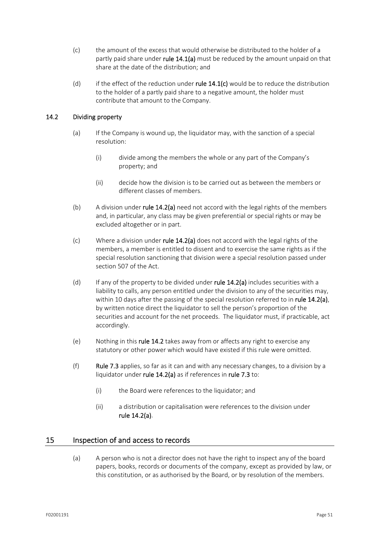- (c) the amount of the excess that would otherwise be distributed to the holder of a partly paid share under rule 14.1(a) must be reduced by the amount unpaid on that share at the date of the distribution; and
- (d) if the effect of the reduction under rule  $14.1(c)$  would be to reduce the distribution to the holder of a partly paid share to a negative amount, the holder must contribute that amount to the Company.

## 14.2 Dividing property

- (a) If the Company is wound up, the liquidator may, with the sanction of a special resolution:
	- (i) divide among the members the whole or any part of the Company's property; and
	- (ii) decide how the division is to be carried out as between the members or different classes of members.
- (b) A division under rule  $14.2(a)$  need not accord with the legal rights of the members and, in particular, any class may be given preferential or special rights or may be excluded altogether or in part.
- (c) Where a division under rule  $14.2(a)$  does not accord with the legal rights of the members, a member is entitled to dissent and to exercise the same rights as if the special resolution sanctioning that division were a special resolution passed under section 507 of the Act.
- (d) If any of the property to be divided under rule  $14.2(a)$  includes securities with a liability to calls, any person entitled under the division to any of the securities may, within 10 days after the passing of the special resolution referred to in rule  $14.2(a)$ , by written notice direct the liquidator to sell the person's proportion of the securities and account for the net proceeds. The liquidator must, if practicable, act accordingly.
- (e) Nothing in this rule 14.2 takes away from or affects any right to exercise any statutory or other power which would have existed if this rule were omitted.
- (f) Rule 7.3 applies, so far as it can and with any necessary changes, to a division by a liquidator under rule 14.2(a) as if references in rule 7.3 to:
	- (i) the Board were references to the liquidator; and
	- (ii) a distribution or capitalisation were references to the division under rule 14.2(a).

## 15 Inspection of and access to records

(a) A person who is not a director does not have the right to inspect any of the board papers, books, records or documents of the company, except as provided by law, or this constitution, or as authorised by the Board, or by resolution of the members.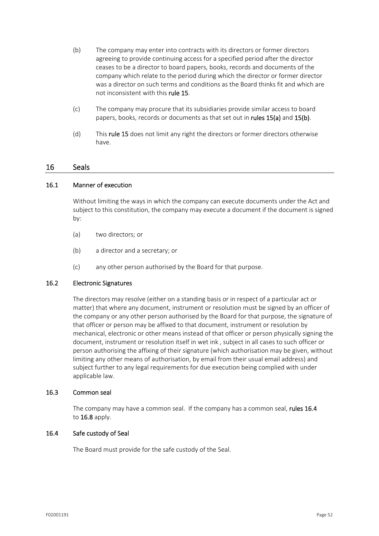- (b) The company may enter into contracts with its directors or former directors agreeing to provide continuing access for a specified period after the director ceases to be a director to board papers, books, records and documents of the company which relate to the period during which the director or former director was a director on such terms and conditions as the Board thinks fit and which are not inconsistent with this rule 15.
- (c) The company may procure that its subsidiaries provide similar access to board papers, books, records or documents as that set out in rules 15(a) and 15(b).
- (d) This rule 15 does not limit any right the directors or former directors otherwise have.

## 16 Seals

## 16.1 Manner of execution

Without limiting the ways in which the company can execute documents under the Act and subject to this constitution, the company may execute a document if the document is signed by:

- (a) two directors; or
- (b) a director and a secretary; or
- (c) any other person authorised by the Board for that purpose.

## 16.2 Electronic Signatures

The directors may resolve (either on a standing basis or in respect of a particular act or matter) that where any document, instrument or resolution must be signed by an officer of the company or any other person authorised by the Board for that purpose, the signature of that officer or person may be affixed to that document, instrument or resolution by mechanical, electronic or other means instead of that officer or person physically signing the document, instrument or resolution itself in wet ink , subject in all cases to such officer or person authorising the affixing of their signature (which authorisation may be given, without limiting any other means of authorisation, by email from their usual email address) and subject further to any legal requirements for due execution being complied with under applicable law.

## 16.3 Common seal

The company may have a common seal. If the company has a common seal, rules 16.4 to 16.8 apply.

## 16.4 Safe custody of Seal

The Board must provide for the safe custody of the Seal.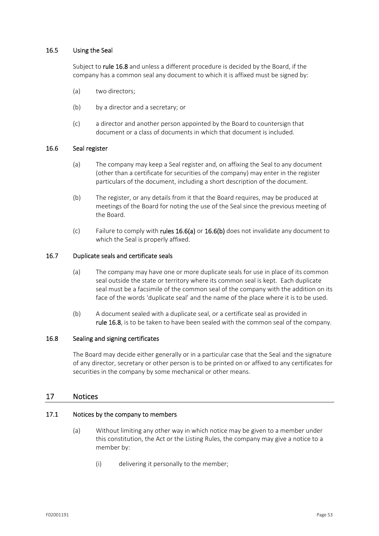## 16.5 Using the Seal

Subject to rule 16.8 and unless a different procedure is decided by the Board, if the company has a common seal any document to which it is affixed must be signed by:

- (a) two directors;
- (b) by a director and a secretary; or
- (c) a director and another person appointed by the Board to countersign that document or a class of documents in which that document is included.

## 16.6 Seal register

- (a) The company may keep a Seal register and, on affixing the Seal to any document (other than a certificate for securities of the company) may enter in the register particulars of the document, including a short description of the document.
- (b) The register, or any details from it that the Board requires, may be produced at meetings of the Board for noting the use of the Seal since the previous meeting of the Board.
- (c) Failure to comply with rules  $16.6(a)$  or  $16.6(b)$  does not invalidate any document to which the Seal is properly affixed.

## 16.7 Duplicate seals and certificate seals

- (a) The company may have one or more duplicate seals for use in place of its common seal outside the state or territory where its common seal is kept. Each duplicate seal must be a facsimile of the common seal of the company with the addition on its face of the words 'duplicate seal' and the name of the place where it is to be used.
- (b) A document sealed with a duplicate seal, or a certificate seal as provided in rule 16.8, is to be taken to have been sealed with the common seal of the company.

## 16.8 Sealing and signing certificates

The Board may decide either generally or in a particular case that the Seal and the signature of any director, secretary or other person is to be printed on or affixed to any certificates for securities in the company by some mechanical or other means.

## 17 Notices

## 17.1 Notices by the company to members

- (a) Without limiting any other way in which notice may be given to a member under this constitution, the Act or the Listing Rules, the company may give a notice to a member by:
	- (i) delivering it personally to the member;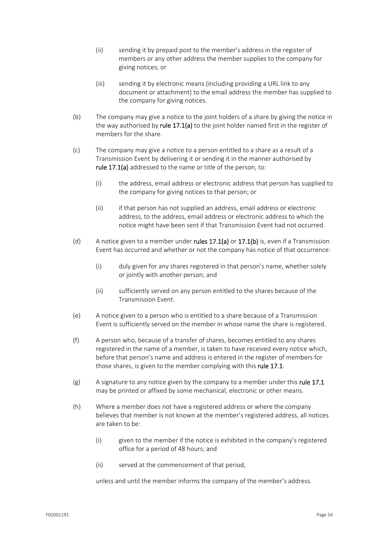- (ii) sending it by prepaid post to the member's address in the register of members or any other address the member supplies to the company for giving notices; or
- (iii) sending it by electronic means (including providing a URL link to any document or attachment) to the email address the member has supplied to the company for giving notices.
- (b) The company may give a notice to the joint holders of a share by giving the notice in the way authorised by rule 17.1(a) to the joint holder named first in the register of members for the share.
- (c) The company may give a notice to a person entitled to a share as a result of a Transmission Event by delivering it or sending it in the manner authorised by rule 17.1(a) addressed to the name or title of the person, to:
	- (i) the address, email address or electronic address that person has supplied to the company for giving notices to that person; or
	- (ii) if that person has not supplied an address, email address or electronic address, to the address, email address or electronic address to which the notice might have been sent if that Transmission Event had not occurred.
- (d) A notice given to a member under rules 17.1(a) or 17.1(b) is, even if a Transmission Event has occurred and whether or not the company has notice of that occurrence:
	- (i) duly given for any shares registered in that person's name, whether solely or jointly with another person; and
	- (ii) sufficiently served on any person entitled to the shares because of the Transmission Event.
- (e) A notice given to a person who is entitled to a share because of a Transmission Event is sufficiently served on the member in whose name the share is registered.
- (f) A person who, because of a transfer of shares, becomes entitled to any shares registered in the name of a member, is taken to have received every notice which, before that person's name and address is entered in the register of members for those shares, is given to the member complying with this rule 17.1.
- $(g)$  A signature to any notice given by the company to a member under this rule 17.1 may be printed or affixed by some mechanical, electronic or other means.
- (h) Where a member does not have a registered address or where the company believes that member is not known at the member's registered address, all notices are taken to be:
	- (i) given to the member if the notice is exhibited in the company's registered office for a period of 48 hours; and
	- (ii) served at the commencement of that period,

unless and until the member informs the company of the member's address.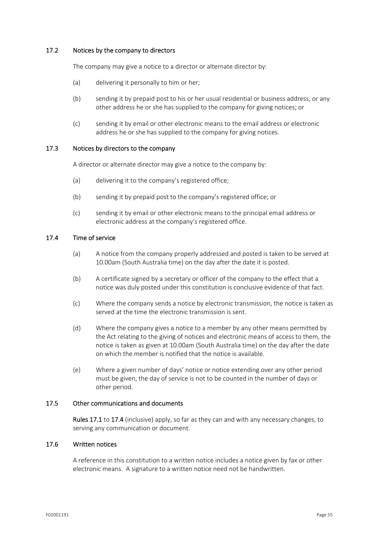## 17.2 Notices by the company to directors

The company may give a notice to a director or alternate director by:

- (a) delivering it personally to him or her;
- (b) sending it by prepaid post to his or her usual residential or business address, or any other address he or she has supplied to the company for giving notices; or
- (c) sending it by email or other electronic means to the email address or electronic address he or she has supplied to the company for giving notices.

#### 17.3 Notices by directors to the company

A director or alternate director may give a notice to the company by:

- (a) delivering it to the company's registered office;
- (b) sending it by prepaid post to the company's registered office; or
- (c) sending it by email or other electronic means to the principal email address or electronic address at the company's registered office.

## 17.4 Time of service

- (a) A notice from the company properly addressed and posted is taken to be served at 10.00am (South Australia time) on the day after the date it is posted.
- (b) A certificate signed by a secretary or officer of the company to the effect that a notice was duly posted under this constitution is conclusive evidence of that fact.
- (c) Where the company sends a notice by electronic transmission, the notice is taken as served at the time the electronic transmission is sent.
- (d) Where the company gives a notice to a member by any other means permitted by the Act relating to the giving of notices and electronic means of access to them, the notice is taken as given at 10.00am (South Australia time) on the day after the date on which the member is notified that the notice is available.
- (e) Where a given number of days' notice or notice extending over any other period must be given, the day of service is not to be counted in the number of days or other period.

## 17.5 Other communications and documents

Rules 17.1 to 17.4 (inclusive) apply, so far as they can and with any necessary changes, to serving any communication or document.

## 17.6 Written notices

A reference in this constitution to a written notice includes a notice given by fax or other electronic means. A signature to a written notice need not be handwritten.